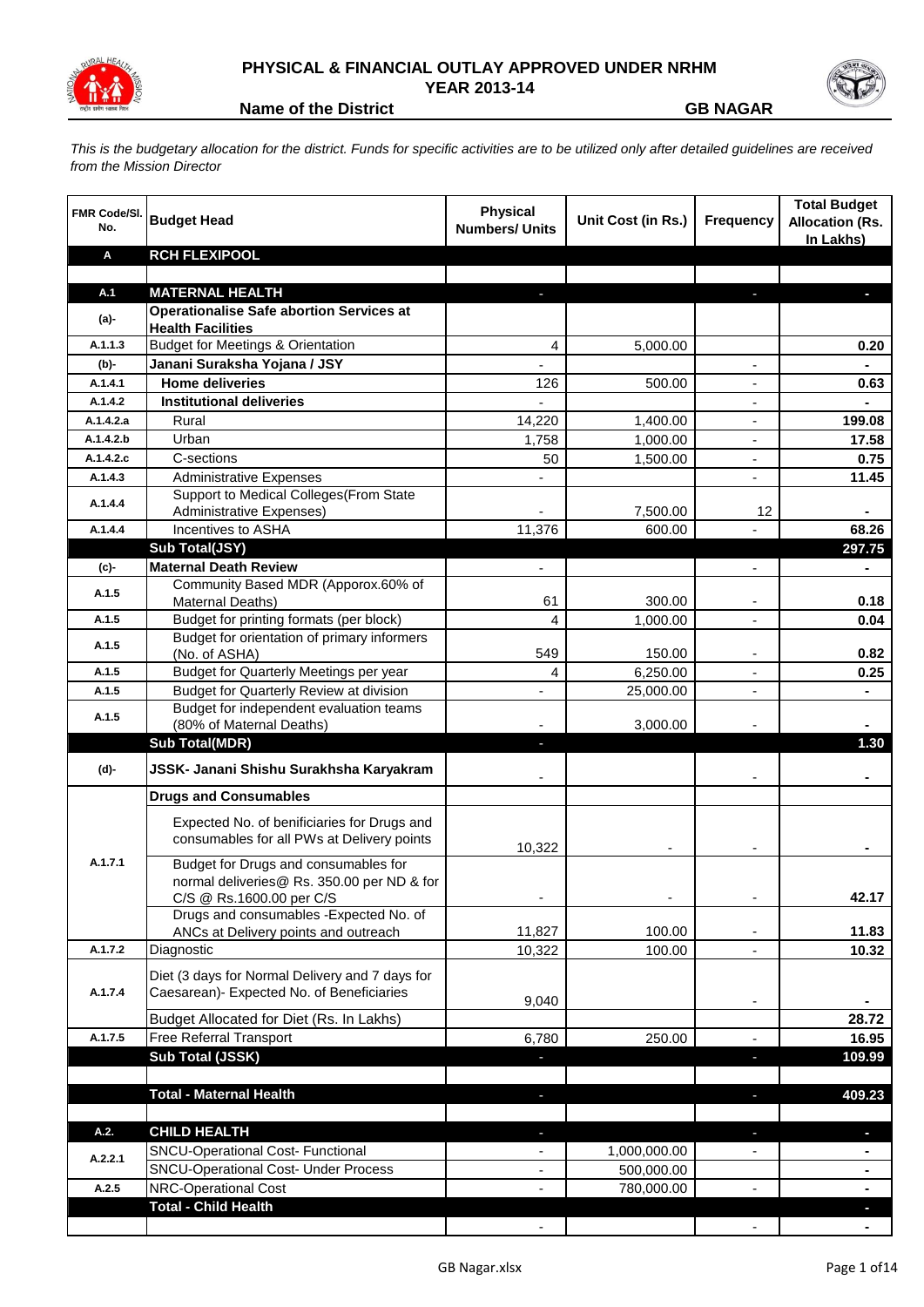

## **PHYSICAL & FINANCIAL OUTLAY APPROVED UNDER NRHM YEAR 2013-14**



**Name of the District GB NAGAR** 

*This is the budgetary allocation for the district. Funds for specific activities are to be utilized only after detailed guidelines are received from the Mission Director*

| <b>FMR Code/SI.</b><br>No. | <b>Budget Head</b>                                                                                             | <b>Physical</b><br><b>Numbers/ Units</b> | Unit Cost (in Rs.) | <b>Frequency</b> | <b>Total Budget</b><br><b>Allocation (Rs.</b><br>In Lakhs) |
|----------------------------|----------------------------------------------------------------------------------------------------------------|------------------------------------------|--------------------|------------------|------------------------------------------------------------|
| A                          | <b>RCH FLEXIPOOL</b>                                                                                           |                                          |                    |                  |                                                            |
| A.1                        | <b>MATERNAL HEALTH</b>                                                                                         |                                          |                    |                  |                                                            |
|                            | <b>Operationalise Safe abortion Services at</b>                                                                |                                          |                    |                  |                                                            |
| (a)-                       | <b>Health Facilities</b>                                                                                       |                                          |                    |                  |                                                            |
| A.1.1.3                    | <b>Budget for Meetings &amp; Orientation</b>                                                                   | 4                                        | 5,000.00           |                  | 0.20                                                       |
| (b)-                       | Janani Suraksha Yojana / JSY                                                                                   | $\overline{a}$                           |                    |                  | $\blacksquare$                                             |
| A.1.4.1                    | <b>Home deliveries</b>                                                                                         | 126                                      | 500.00             |                  | 0.63                                                       |
| A.1.4.2                    | <b>Institutional deliveries</b>                                                                                |                                          |                    |                  |                                                            |
| A.1.4.2.a                  | Rural                                                                                                          | 14,220                                   | 1,400.00           |                  | 199.08                                                     |
| A.1.4.2.b                  | Urban                                                                                                          | 1,758                                    | 1,000.00           | ÷,               | 17.58                                                      |
| A.1.4.2.c                  | C-sections                                                                                                     | 50                                       | 1,500.00           | ÷,               | 0.75                                                       |
| A.1.4.3                    | <b>Administrative Expenses</b>                                                                                 |                                          |                    |                  | 11.45                                                      |
| A.1.4.4                    | Support to Medical Colleges (From State<br><b>Administrative Expenses)</b>                                     |                                          |                    | 12               |                                                            |
| A.1.4.4                    | Incentives to ASHA                                                                                             | 11,376                                   | 7,500.00<br>600.00 |                  | 68.26                                                      |
|                            | Sub Total(JSY)                                                                                                 |                                          |                    |                  | 297.75                                                     |
| (c)-                       | <b>Maternal Death Review</b>                                                                                   | $\blacksquare$                           |                    | $\blacksquare$   | ä,                                                         |
|                            | Community Based MDR (Apporox.60% of                                                                            |                                          |                    |                  |                                                            |
| A.1.5                      | Maternal Deaths)                                                                                               | 61                                       | 300.00             |                  | 0.18                                                       |
| A.1.5                      | Budget for printing formats (per block)                                                                        | 4                                        | 1,000.00           |                  | 0.04                                                       |
| A.1.5                      | Budget for orientation of primary informers<br>(No. of ASHA)                                                   | 549                                      | 150.00             |                  | 0.82                                                       |
| A.1.5                      | Budget for Quarterly Meetings per year                                                                         | 4                                        | 6,250.00           |                  | 0.25                                                       |
| A.1.5                      | Budget for Quarterly Review at division                                                                        | $\overline{a}$                           | 25,000.00          |                  |                                                            |
|                            | Budget for independent evaluation teams                                                                        |                                          |                    |                  |                                                            |
| A.1.5                      | (80% of Maternal Deaths)                                                                                       |                                          | 3,000.00           |                  |                                                            |
|                            | <b>Sub Total(MDR)</b>                                                                                          | ٠                                        |                    |                  | 1.30                                                       |
| (d)-                       | JSSK- Janani Shishu Surakhsha Karyakram                                                                        |                                          |                    |                  |                                                            |
|                            | <b>Drugs and Consumables</b>                                                                                   |                                          |                    |                  |                                                            |
|                            | Expected No. of benificiaries for Drugs and<br>consumables for all PWs at Delivery points                      | 10,322                                   |                    |                  |                                                            |
| A.1.7.1                    | Budget for Drugs and consumables for<br>normal deliveries@ Rs. 350.00 per ND & for<br>C/S @ Rs.1600.00 per C/S |                                          |                    |                  | 42.17                                                      |
|                            | Drugs and consumables - Expected No. of                                                                        |                                          |                    |                  |                                                            |
|                            | ANCs at Delivery points and outreach                                                                           | 11,827                                   | 100.00             | -                | 11.83                                                      |
| A.1.7.2                    | Diagnostic                                                                                                     | 10,322                                   | 100.00             | $\overline{a}$   | 10.32                                                      |
| A.1.7.4                    | Diet (3 days for Normal Delivery and 7 days for<br>Caesarean)- Expected No. of Beneficiaries                   | 9,040                                    |                    | $\blacksquare$   |                                                            |
|                            | Budget Allocated for Diet (Rs. In Lakhs)                                                                       |                                          |                    |                  | 28.72                                                      |
| A.1.7.5                    | Free Referral Transport                                                                                        | 6,780                                    | 250.00             |                  | 16.95                                                      |
|                            | Sub Total (JSSK)                                                                                               |                                          |                    | J,               | 109.99                                                     |
|                            |                                                                                                                |                                          |                    |                  |                                                            |
|                            | <b>Total - Maternal Health</b>                                                                                 |                                          |                    |                  | 409.23                                                     |
| A.2.                       | <b>CHILD HEALTH</b>                                                                                            |                                          |                    | ٠                |                                                            |
|                            | <b>SNCU-Operational Cost- Functional</b>                                                                       |                                          | 1,000,000.00       |                  |                                                            |
| A.2.2.1                    | <b>SNCU-Operational Cost- Under Process</b>                                                                    | $\overline{\phantom{a}}$                 | 500,000.00         |                  | ٠                                                          |
| A.2.5                      | NRC-Operational Cost                                                                                           |                                          | 780,000.00         |                  | $\blacksquare$                                             |
|                            | <b>Total - Child Health</b>                                                                                    |                                          |                    |                  |                                                            |
|                            |                                                                                                                |                                          |                    |                  |                                                            |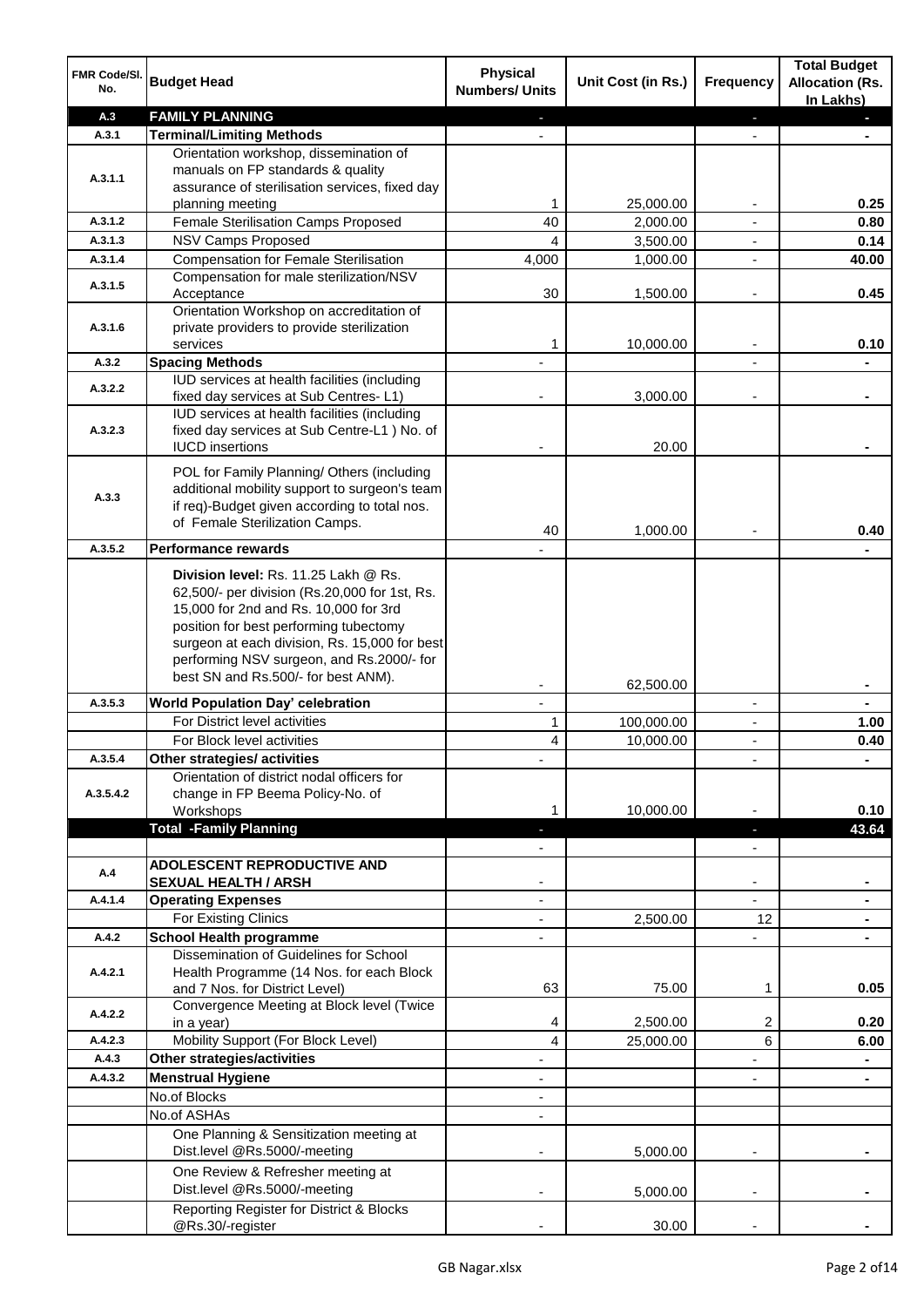| FMR Code/SI.<br>No. | <b>Budget Head</b>                                                                         | <b>Physical</b><br><b>Numbers/ Units</b> | Unit Cost (in Rs.)      | Frequency                                  | <b>Total Budget</b><br><b>Allocation (Rs.</b><br>In Lakhs) |
|---------------------|--------------------------------------------------------------------------------------------|------------------------------------------|-------------------------|--------------------------------------------|------------------------------------------------------------|
| A.3                 | <b>FAMILY PLANNING</b>                                                                     |                                          |                         |                                            |                                                            |
| A.3.1               | <b>Terminal/Limiting Methods</b>                                                           |                                          |                         |                                            |                                                            |
|                     | Orientation workshop, dissemination of                                                     |                                          |                         |                                            |                                                            |
| A.3.1.1             | manuals on FP standards & quality                                                          |                                          |                         |                                            |                                                            |
|                     | assurance of sterilisation services, fixed day<br>planning meeting                         | 1                                        | 25,000.00               |                                            | 0.25                                                       |
| A.3.1.2             | Female Sterilisation Camps Proposed                                                        | 40                                       | 2,000.00                |                                            | 0.80                                                       |
| A.3.1.3             | <b>NSV Camps Proposed</b>                                                                  | 4                                        | 3,500.00                | $\blacksquare$                             | 0.14                                                       |
| A.3.1.4             | <b>Compensation for Female Sterilisation</b>                                               | 4,000                                    | 1,000.00                | $\blacksquare$                             | 40.00                                                      |
| A.3.1.5             | Compensation for male sterilization/NSV                                                    |                                          |                         |                                            |                                                            |
|                     | Acceptance                                                                                 | 30                                       | 1,500.00                | $\overline{a}$                             | 0.45                                                       |
|                     | Orientation Workshop on accreditation of                                                   |                                          |                         |                                            |                                                            |
| A.3.1.6             | private providers to provide sterilization<br>services                                     | 1                                        | 10,000.00               | $\blacksquare$                             | 0.10                                                       |
| A.3.2               | <b>Spacing Methods</b>                                                                     |                                          |                         |                                            |                                                            |
|                     | IUD services at health facilities (including                                               |                                          |                         |                                            |                                                            |
| A.3.2.2             | fixed day services at Sub Centres-L1)                                                      |                                          | 3.000.00                |                                            |                                                            |
|                     | IUD services at health facilities (including                                               |                                          |                         |                                            |                                                            |
| A.3.2.3             | fixed day services at Sub Centre-L1 ) No. of                                               |                                          |                         |                                            |                                                            |
|                     | <b>IUCD</b> insertions                                                                     |                                          | 20.00                   |                                            |                                                            |
|                     | POL for Family Planning/ Others (including                                                 |                                          |                         |                                            |                                                            |
| A.3.3               | additional mobility support to surgeon's team                                              |                                          |                         |                                            |                                                            |
|                     | if req)-Budget given according to total nos.<br>of Female Sterilization Camps.             |                                          |                         |                                            |                                                            |
|                     |                                                                                            | 40                                       | 1,000.00                |                                            | 0.40                                                       |
| A.3.5.2             | <b>Performance rewards</b>                                                                 |                                          |                         |                                            |                                                            |
|                     | Division level: Rs. 11.25 Lakh @ Rs.                                                       |                                          |                         |                                            |                                                            |
|                     | 62,500/- per division (Rs.20,000 for 1st, Rs.                                              |                                          |                         |                                            |                                                            |
|                     | 15,000 for 2nd and Rs. 10,000 for 3rd                                                      |                                          |                         |                                            |                                                            |
|                     | position for best performing tubectomy                                                     |                                          |                         |                                            |                                                            |
|                     | surgeon at each division, Rs. 15,000 for best<br>performing NSV surgeon, and Rs.2000/- for |                                          |                         |                                            |                                                            |
|                     | best SN and Rs.500/- for best ANM).                                                        |                                          |                         |                                            |                                                            |
|                     |                                                                                            |                                          | 62,500.00               |                                            |                                                            |
| A.3.5.3             | <b>World Population Day' celebration</b><br>For District level activities                  | $\mathbf{r}$                             |                         | $\blacksquare$                             | $\blacksquare$                                             |
|                     | For Block level activities                                                                 | 1<br>4                                   | 100,000.00<br>10,000.00 | $\overline{\phantom{a}}$<br>$\blacksquare$ | 1.00<br>0.40                                               |
| A.3.5.4             | Other strategies/ activities                                                               |                                          |                         |                                            |                                                            |
|                     | Orientation of district nodal officers for                                                 |                                          |                         |                                            |                                                            |
| A.3.5.4.2           | change in FP Beema Policy-No. of                                                           |                                          |                         |                                            |                                                            |
|                     | Workshops                                                                                  |                                          | 10,000.00               |                                            | 0.10                                                       |
|                     | <b>Total -Family Planning</b>                                                              |                                          |                         |                                            | 43.64                                                      |
|                     |                                                                                            |                                          |                         |                                            |                                                            |
| A.4                 | <b>ADOLESCENT REPRODUCTIVE AND</b>                                                         |                                          |                         |                                            |                                                            |
| A.4.1.4             | <b>SEXUAL HEALTH / ARSH</b><br><b>Operating Expenses</b>                                   |                                          |                         |                                            |                                                            |
|                     | For Existing Clinics                                                                       |                                          | 2,500.00                | 12                                         |                                                            |
| A.4.2               | <b>School Health programme</b>                                                             |                                          |                         |                                            |                                                            |
|                     | Dissemination of Guidelines for School                                                     |                                          |                         |                                            |                                                            |
| A.4.2.1             | Health Programme (14 Nos. for each Block                                                   |                                          |                         |                                            |                                                            |
|                     | and 7 Nos. for District Level)                                                             | 63                                       | 75.00                   | 1                                          | 0.05                                                       |
| A.4.2.2             | Convergence Meeting at Block level (Twice                                                  |                                          |                         |                                            |                                                            |
|                     | in a year)                                                                                 | 4                                        | 2,500.00                | 2                                          | 0.20                                                       |
| A.4.2.3             | Mobility Support (For Block Level)                                                         | 4                                        | 25,000.00               | 6                                          | 6.00                                                       |
| A.4.3               | <b>Other strategies/activities</b>                                                         |                                          |                         |                                            |                                                            |
| A.4.3.2             | <b>Menstrual Hygiene</b><br>No.of Blocks                                                   |                                          |                         |                                            |                                                            |
|                     | No.of ASHAs                                                                                |                                          |                         |                                            |                                                            |
|                     | One Planning & Sensitization meeting at                                                    |                                          |                         |                                            |                                                            |
|                     | Dist.level @Rs.5000/-meeting                                                               |                                          | 5,000.00                |                                            |                                                            |
|                     | One Review & Refresher meeting at                                                          |                                          |                         |                                            |                                                            |
|                     | Dist.level @Rs.5000/-meeting                                                               |                                          | 5,000.00                |                                            |                                                            |
|                     | Reporting Register for District & Blocks                                                   |                                          |                         |                                            |                                                            |
|                     | @Rs.30/-register                                                                           |                                          | 30.00                   |                                            |                                                            |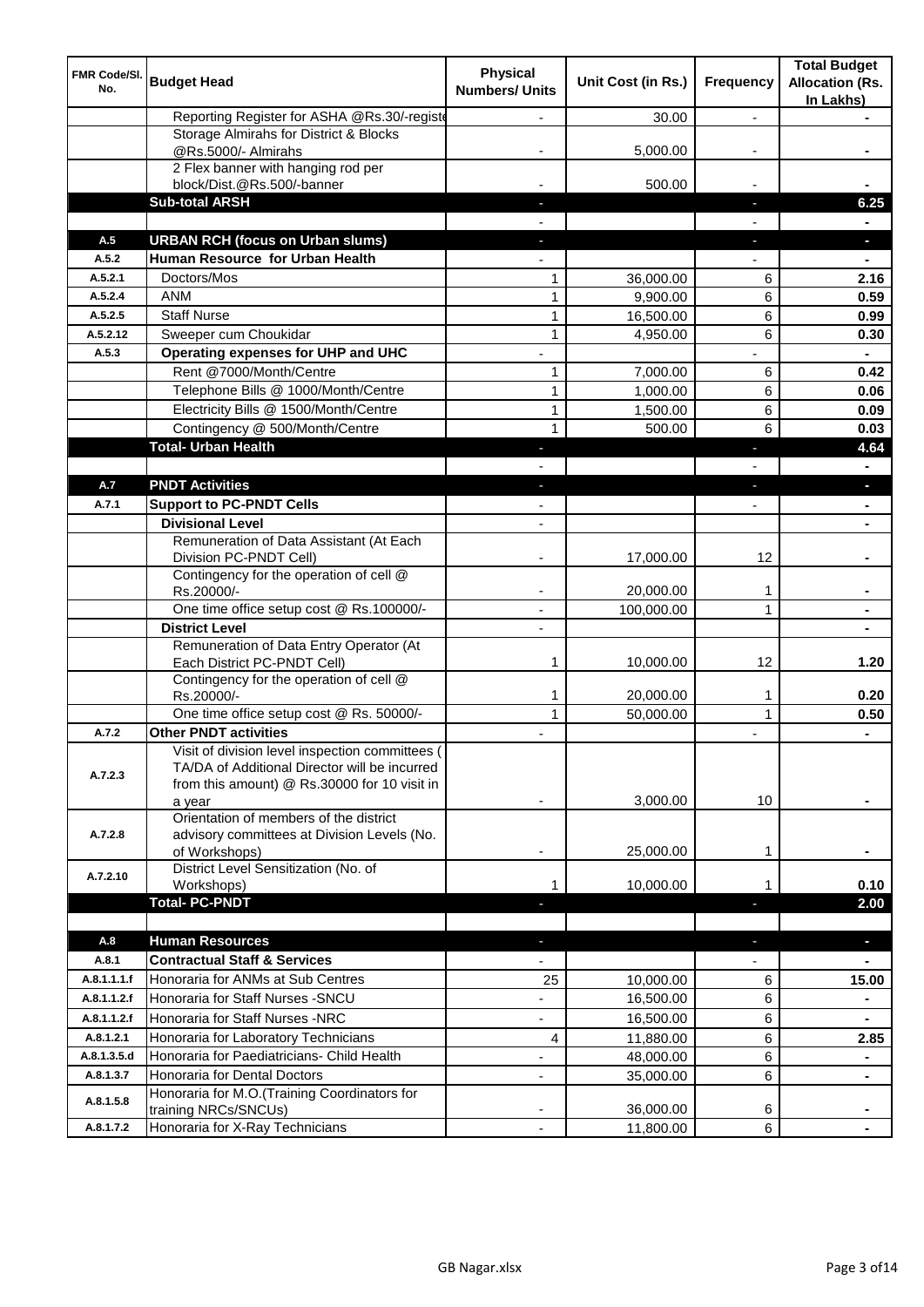| FMR Code/SI.<br>No. | <b>Budget Head</b>                                                                                                                                         | <b>Physical</b><br><b>Numbers/ Units</b> | Unit Cost (in Rs.) | Frequency      | <b>Total Budget</b><br><b>Allocation (Rs.</b><br>In Lakhs) |
|---------------------|------------------------------------------------------------------------------------------------------------------------------------------------------------|------------------------------------------|--------------------|----------------|------------------------------------------------------------|
|                     | Reporting Register for ASHA @Rs.30/-registe                                                                                                                |                                          | 30.00              | $\overline{a}$ |                                                            |
|                     | Storage Almirahs for District & Blocks<br>@Rs.5000/- Almirahs                                                                                              |                                          | 5,000.00           |                |                                                            |
|                     | 2 Flex banner with hanging rod per                                                                                                                         |                                          |                    |                |                                                            |
|                     | block/Dist.@Rs.500/-banner                                                                                                                                 |                                          | 500.00             |                |                                                            |
|                     | <b>Sub-total ARSH</b>                                                                                                                                      |                                          |                    | J,             | 6.25                                                       |
|                     |                                                                                                                                                            |                                          |                    |                |                                                            |
| A.5                 | <b>URBAN RCH (focus on Urban slums)</b>                                                                                                                    |                                          |                    | J,             | a.                                                         |
| A.5.2               | Human Resource for Urban Health                                                                                                                            |                                          |                    |                |                                                            |
| A.5.2.1             | Doctors/Mos                                                                                                                                                | 1                                        | 36,000.00          | 6              | 2.16                                                       |
| A.5.2.4             | <b>ANM</b>                                                                                                                                                 | $\mathbf{1}$                             | 9,900.00           | 6              | 0.59                                                       |
| A.5.2.5             | <b>Staff Nurse</b>                                                                                                                                         | $\mathbf{1}$                             | 16,500.00          | 6              | 0.99                                                       |
| A.5.2.12            | Sweeper cum Choukidar                                                                                                                                      | 1                                        | 4,950.00           | 6              | 0.30                                                       |
| A.5.3               | Operating expenses for UHP and UHC                                                                                                                         |                                          |                    |                |                                                            |
|                     | Rent @7000/Month/Centre                                                                                                                                    | 1                                        | 7,000.00           | 6              | 0.42                                                       |
|                     | Telephone Bills @ 1000/Month/Centre                                                                                                                        | $\mathbf{1}$                             | 1,000.00           | 6              | 0.06                                                       |
|                     | Electricity Bills @ 1500/Month/Centre                                                                                                                      | $\mathbf{1}$                             | 1,500.00           | 6              | 0.09                                                       |
|                     | Contingency @ 500/Month/Centre                                                                                                                             | $\mathbf{1}$                             | 500.00             | 6              | 0.03                                                       |
|                     | <b>Total- Urban Health</b>                                                                                                                                 |                                          |                    | Е              | 4.64                                                       |
|                     |                                                                                                                                                            |                                          |                    |                |                                                            |
| A.7                 | <b>PNDT Activities</b>                                                                                                                                     |                                          |                    |                |                                                            |
| A.7.1               | <b>Support to PC-PNDT Cells</b>                                                                                                                            |                                          |                    |                |                                                            |
|                     | <b>Divisional Level</b>                                                                                                                                    | $\overline{\phantom{a}}$                 |                    |                |                                                            |
|                     | Remuneration of Data Assistant (At Each<br>Division PC-PNDT Cell)                                                                                          |                                          | 17,000.00          | 12             |                                                            |
|                     | Contingency for the operation of cell @<br>Rs.20000/-                                                                                                      |                                          | 20,000.00          | 1              |                                                            |
|                     | One time office setup cost @ Rs.100000/-                                                                                                                   | $\blacksquare$                           | 100,000.00         | 1              |                                                            |
|                     | <b>District Level</b>                                                                                                                                      |                                          |                    |                |                                                            |
|                     | Remuneration of Data Entry Operator (At<br>Each District PC-PNDT Cell)                                                                                     | 1                                        | 10,000.00          | 12             | 1.20                                                       |
|                     | Contingency for the operation of cell @<br>Rs.20000/-                                                                                                      | 1                                        | 20,000.00          | 1              | 0.20                                                       |
|                     | One time office setup cost @ Rs. 50000/-                                                                                                                   | $\mathbf{1}$                             | 50,000.00          | $\mathbf{1}$   | 0.50                                                       |
| A.7.2               | <b>Other PNDT activities</b>                                                                                                                               |                                          |                    |                | $\blacksquare$                                             |
| A.7.2.3             | Visit of division level inspection committees (<br>TA/DA of Additional Director will be incurred<br>from this amount) @ Rs.30000 for 10 visit in<br>a year |                                          | 3,000.00           | 10             |                                                            |
| A.7.2.8             | Orientation of members of the district<br>advisory committees at Division Levels (No.<br>of Workshops)                                                     | ٠                                        | 25,000.00          | 1              |                                                            |
| A.7.2.10            | District Level Sensitization (No. of<br>Workshops)                                                                                                         | 1                                        | 10,000.00          |                | 0.10                                                       |
|                     | <b>Total-PC-PNDT</b>                                                                                                                                       |                                          |                    |                | 2.00                                                       |
| A.8                 | <b>Human Resources</b>                                                                                                                                     |                                          |                    | ٠              | $\blacksquare$                                             |
| A.8.1               | <b>Contractual Staff &amp; Services</b>                                                                                                                    |                                          |                    |                |                                                            |
| A.8.1.1.1.f         | Honoraria for ANMs at Sub Centres                                                                                                                          | 25                                       | 10,000.00          | 6              | 15.00                                                      |
| A.8.1.1.2.f         | Honoraria for Staff Nurses - SNCU                                                                                                                          |                                          | 16,500.00          | 6              |                                                            |
| A.8.1.1.2.f         | Honoraria for Staff Nurses -NRC                                                                                                                            | $\overline{\phantom{a}}$                 | 16,500.00          | 6              | $\blacksquare$                                             |
| A.8.1.2.1           | Honoraria for Laboratory Technicians                                                                                                                       | 4                                        | 11,880.00          | 6              | 2.85                                                       |
| A.8.1.3.5.d         | Honoraria for Paediatricians- Child Health                                                                                                                 |                                          | 48,000.00          | 6              | $\blacksquare$                                             |
| A.8.1.3.7           | Honoraria for Dental Doctors                                                                                                                               | $\overline{\phantom{0}}$                 | 35,000.00          | 6              | $\blacksquare$                                             |
| A.8.1.5.8           | Honoraria for M.O.(Training Coordinators for                                                                                                               |                                          |                    |                |                                                            |
|                     | training NRCs/SNCUs)                                                                                                                                       |                                          | 36,000.00          | 6              |                                                            |
| A.8.1.7.2           | Honoraria for X-Ray Technicians                                                                                                                            | ÷,                                       | 11,800.00          | 6              |                                                            |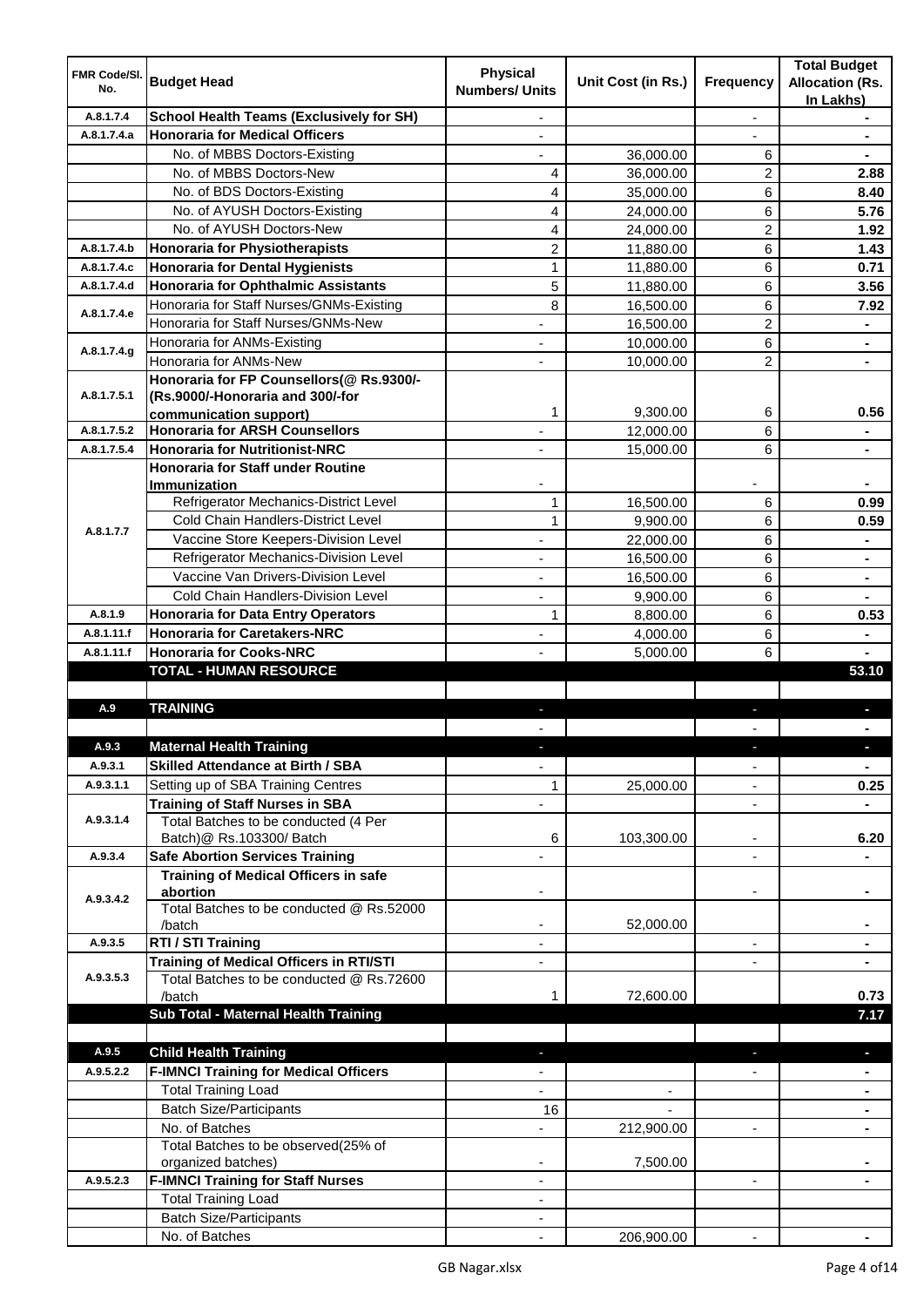| <b>FMR Code/SI.</b><br>No. | <b>Budget Head</b>                                   | <b>Physical</b><br><b>Numbers/ Units</b> | Unit Cost (in Rs.)       | Frequency                | <b>Total Budget</b><br><b>Allocation (Rs.</b><br>In Lakhs) |
|----------------------------|------------------------------------------------------|------------------------------------------|--------------------------|--------------------------|------------------------------------------------------------|
| A.8.1.7.4                  | <b>School Health Teams (Exclusively for SH)</b>      |                                          |                          | $\overline{a}$           |                                                            |
| A.8.1.7.4.a                | <b>Honoraria for Medical Officers</b>                |                                          |                          |                          |                                                            |
|                            | No. of MBBS Doctors-Existing                         |                                          | 36,000.00                | 6                        |                                                            |
|                            | No. of MBBS Doctors-New                              | 4                                        | 36,000.00                | 2                        | 2.88                                                       |
|                            | No. of BDS Doctors-Existing                          | 4                                        | 35,000.00                | 6                        | 8.40                                                       |
|                            | No. of AYUSH Doctors-Existing                        | 4                                        | 24,000.00                | 6                        | 5.76                                                       |
|                            | No. of AYUSH Doctors-New                             | 4                                        | 24,000.00                | 2                        | 1.92                                                       |
| A.8.1.7.4.b                | <b>Honoraria for Physiotherapists</b>                | $\overline{c}$                           | 11,880.00                | 6                        | 1.43                                                       |
| A.8.1.7.4.c                | <b>Honoraria for Dental Hygienists</b>               | $\mathbf{1}$                             | 11,880.00                | 6                        | 0.71                                                       |
| A.8.1.7.4.d                | <b>Honoraria for Ophthalmic Assistants</b>           | 5                                        | 11,880.00                | 6                        | 3.56                                                       |
|                            | Honoraria for Staff Nurses/GNMs-Existing             | 8                                        | 16,500.00                | 6                        | 7.92                                                       |
| A.8.1.7.4.e                | Honoraria for Staff Nurses/GNMs-New                  |                                          | 16,500.00                | $\overline{2}$           |                                                            |
|                            | Honoraria for ANMs-Existing                          |                                          | 10,000.00                | 6                        | $\blacksquare$                                             |
| A.8.1.7.4.g                | Honoraria for ANMs-New                               |                                          | 10,000.00                | $\overline{2}$           |                                                            |
|                            | Honoraria for FP Counsellors(@ Rs.9300/-             |                                          |                          |                          |                                                            |
| A.8.1.7.5.1                | (Rs.9000/-Honoraria and 300/-for                     |                                          |                          |                          |                                                            |
|                            | communication support)                               | 1                                        | 9,300.00                 | 6                        | 0.56                                                       |
| A.8.1.7.5.2                | <b>Honoraria for ARSH Counsellors</b>                |                                          | 12,000.00                | 6                        | $\blacksquare$                                             |
| A.8.1.7.5.4                | <b>Honoraria for Nutritionist-NRC</b>                | $\blacksquare$                           | 15,000.00                | 6                        | $\blacksquare$                                             |
|                            | <b>Honoraria for Staff under Routine</b>             |                                          |                          |                          |                                                            |
|                            | <b>Immunization</b>                                  |                                          |                          |                          |                                                            |
|                            | Refrigerator Mechanics-District Level                | 1                                        | 16,500.00                | 6                        | 0.99                                                       |
| A.8.1.7.7                  | Cold Chain Handlers-District Level                   | 1                                        | 9,900.00                 | 6                        | 0.59                                                       |
|                            | Vaccine Store Keepers-Division Level                 |                                          | 22,000.00                | 6                        | $\blacksquare$                                             |
|                            | Refrigerator Mechanics-Division Level                |                                          | 16,500.00                | 6                        | $\blacksquare$                                             |
|                            | Vaccine Van Drivers-Division Level                   |                                          | 16,500.00                | 6                        | $\blacksquare$                                             |
|                            | Cold Chain Handlers-Division Level                   | ä,                                       | 9,900.00                 | 6                        |                                                            |
| A.8.1.9                    | <b>Honoraria for Data Entry Operators</b>            | 1                                        | 8,800.00                 | 6                        | 0.53                                                       |
| A.8.1.11.f                 | <b>Honoraria for Caretakers-NRC</b>                  | $\overline{\phantom{0}}$                 | 4,000.00                 | 6                        |                                                            |
| A.8.1.11.f                 | <b>Honoraria for Cooks-NRC</b>                       |                                          | 5,000.00                 | 6                        |                                                            |
|                            | <b>TOTAL - HUMAN RESOURCE</b>                        |                                          |                          |                          | 53.10                                                      |
|                            |                                                      |                                          |                          |                          |                                                            |
| A.9                        | <b>TRAINING</b>                                      | ٠                                        |                          | ٠                        | p                                                          |
|                            |                                                      |                                          |                          |                          |                                                            |
| A.9.3                      | <b>Maternal Health Training</b>                      |                                          |                          |                          |                                                            |
| A.9.3.1                    | <b>Skilled Attendance at Birth / SBA</b>             | ÷,                                       |                          | $\overline{\phantom{a}}$ | $\blacksquare$                                             |
| A.9.3.1.1                  | Setting up of SBA Training Centres                   | 1                                        | 25,000.00                | ٠                        | 0.25                                                       |
|                            | <b>Training of Staff Nurses in SBA</b>               | $\overline{\phantom{0}}$                 |                          | $\overline{\phantom{a}}$ |                                                            |
| A.9.3.1.4                  | Total Batches to be conducted (4 Per                 |                                          |                          |                          |                                                            |
|                            | Batch)@ Rs.103300/ Batch                             | 6                                        | 103,300.00               | ٠                        | 6.20                                                       |
| A.9.3.4                    | <b>Safe Abortion Services Training</b>               |                                          |                          |                          |                                                            |
|                            | <b>Training of Medical Officers in safe</b>          |                                          |                          |                          |                                                            |
| A.9.3.4.2                  | abortion<br>Total Batches to be conducted @ Rs.52000 |                                          |                          | -                        |                                                            |
|                            | /batch                                               | $\overline{\phantom{a}}$                 | 52,000.00                |                          | $\blacksquare$                                             |
| A.9.3.5                    | RTI / STI Training                                   | $\blacksquare$                           |                          | ÷,                       | $\blacksquare$                                             |
|                            | <b>Training of Medical Officers in RTI/STI</b>       | $\overline{\phantom{a}}$                 |                          | L,                       | $\blacksquare$                                             |
| A.9.3.5.3                  | Total Batches to be conducted @ Rs.72600             |                                          |                          |                          |                                                            |
|                            | /batch                                               | 1                                        | 72,600.00                |                          | 0.73                                                       |
|                            | Sub Total - Maternal Health Training                 |                                          |                          |                          | 7.17                                                       |
|                            |                                                      |                                          |                          |                          |                                                            |
| A.9.5                      | <b>Child Health Training</b>                         |                                          |                          |                          | ٠                                                          |
| A.9.5.2.2                  | <b>F-IMNCI Training for Medical Officers</b>         |                                          |                          |                          |                                                            |
|                            | <b>Total Training Load</b>                           |                                          | $\overline{\phantom{a}}$ |                          | $\blacksquare$                                             |
|                            | <b>Batch Size/Participants</b>                       | 16                                       |                          |                          | ٠                                                          |
|                            | No. of Batches                                       | $\overline{\phantom{0}}$                 | 212,900.00               | ۰                        | ٠                                                          |
|                            | Total Batches to be observed(25% of                  |                                          |                          |                          |                                                            |
|                            | organized batches)                                   |                                          | 7,500.00                 |                          |                                                            |
| A.9.5.2.3                  | <b>F-IMNCI Training for Staff Nurses</b>             | ٠                                        |                          | $\blacksquare$           |                                                            |
|                            | <b>Total Training Load</b>                           | ٠                                        |                          |                          |                                                            |
|                            | <b>Batch Size/Participants</b>                       |                                          |                          |                          |                                                            |
|                            | No. of Batches                                       |                                          | 206,900.00               |                          |                                                            |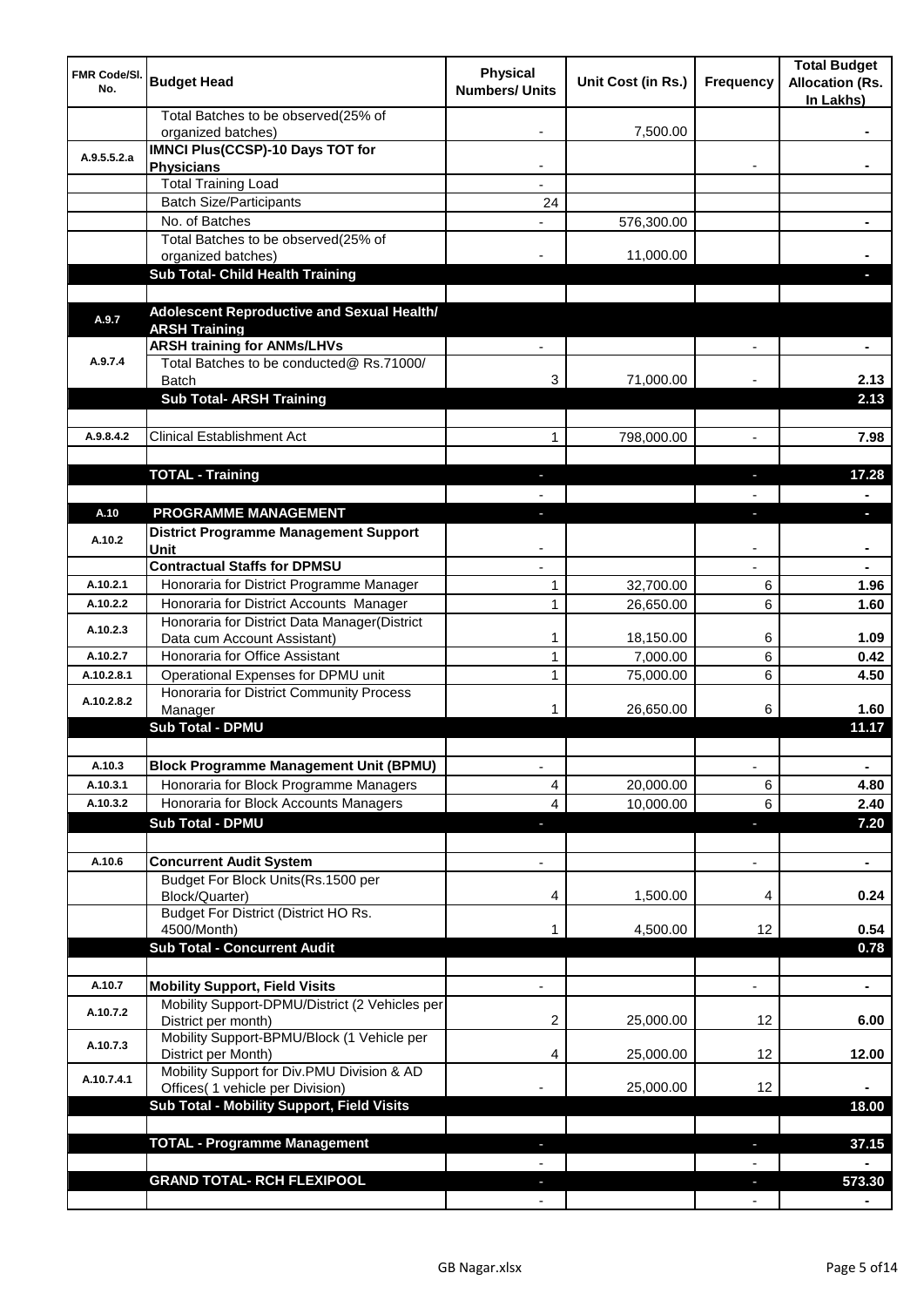| <b>FMR Code/SI.</b><br>No. | <b>Budget Head</b>                                                             | <b>Physical</b><br><b>Numbers/ Units</b> | Unit Cost (in Rs.) | Frequency                | <b>Total Budget</b><br><b>Allocation (Rs.</b><br>In Lakhs) |
|----------------------------|--------------------------------------------------------------------------------|------------------------------------------|--------------------|--------------------------|------------------------------------------------------------|
|                            | Total Batches to be observed(25% of<br>organized batches)                      |                                          | 7,500.00           |                          |                                                            |
| A.9.5.5.2.a                | <b>IMNCI Plus(CCSP)-10 Days TOT for</b>                                        |                                          |                    |                          |                                                            |
|                            | <b>Physicians</b>                                                              |                                          |                    |                          |                                                            |
|                            | <b>Total Training Load</b>                                                     |                                          |                    |                          |                                                            |
|                            | <b>Batch Size/Participants</b><br>No. of Batches                               | 24                                       |                    |                          |                                                            |
|                            | Total Batches to be observed(25% of                                            |                                          | 576,300.00         |                          |                                                            |
|                            | organized batches)                                                             |                                          | 11,000.00          |                          |                                                            |
|                            | Sub Total- Child Health Training                                               |                                          |                    |                          |                                                            |
|                            |                                                                                |                                          |                    |                          |                                                            |
| A.9.7                      | Adolescent Reproductive and Sexual Health/                                     |                                          |                    |                          |                                                            |
|                            | <b>ARSH Training</b>                                                           |                                          |                    |                          |                                                            |
|                            | <b>ARSH training for ANMs/LHVs</b>                                             |                                          |                    |                          |                                                            |
| A.9.7.4                    | Total Batches to be conducted@ Rs.71000/                                       |                                          |                    |                          |                                                            |
|                            | <b>Batch</b><br><b>Sub Total- ARSH Training</b>                                | 3                                        | 71,000.00          |                          | 2.13<br>2.13                                               |
|                            |                                                                                |                                          |                    |                          |                                                            |
| A.9.8.4.2                  | <b>Clinical Establishment Act</b>                                              | 1                                        | 798,000.00         | $\overline{a}$           | 7.98                                                       |
|                            |                                                                                |                                          |                    |                          |                                                            |
|                            | <b>TOTAL - Training</b>                                                        |                                          |                    |                          | 17.28                                                      |
|                            |                                                                                |                                          |                    |                          |                                                            |
| A.10                       | PROGRAMME MANAGEMENT                                                           |                                          |                    |                          | o.                                                         |
|                            | <b>District Programme Management Support</b>                                   |                                          |                    |                          |                                                            |
| A.10.2                     | Unit                                                                           |                                          |                    |                          |                                                            |
|                            | <b>Contractual Staffs for DPMSU</b>                                            |                                          |                    |                          |                                                            |
| A.10.2.1                   | Honoraria for District Programme Manager                                       | 1                                        | 32,700.00          | 6                        | 1.96                                                       |
| A.10.2.2                   | Honoraria for District Accounts Manager                                        | $\mathbf{1}$                             | 26,650.00          | 6                        | 1.60                                                       |
| A.10.2.3                   | Honoraria for District Data Manager(District                                   |                                          |                    |                          |                                                            |
|                            | Data cum Account Assistant)                                                    | 1                                        | 18,150.00          | 6                        | 1.09                                                       |
| A.10.2.7                   | Honoraria for Office Assistant                                                 | 1                                        | 7,000.00           | 6                        | 0.42                                                       |
| A.10.2.8.1                 | Operational Expenses for DPMU unit<br>Honoraria for District Community Process | 1                                        | 75,000.00          | 6                        | 4.50                                                       |
| A.10.2.8.2                 | Manager                                                                        | 1                                        | 26,650.00          | 6                        | 1.60                                                       |
|                            | <b>Sub Total - DPMU</b>                                                        |                                          |                    |                          | 11.17                                                      |
|                            |                                                                                |                                          |                    |                          |                                                            |
| A.10.3                     | <b>Block Programme Management Unit (BPMU)</b>                                  | $\overline{\phantom{a}}$                 |                    | $\overline{\phantom{a}}$ | ٠                                                          |
| A.10.3.1                   | Honoraria for Block Programme Managers                                         | 4                                        | 20,000.00          | 6                        | 4.80                                                       |
| A.10.3.2                   | Honoraria for Block Accounts Managers                                          | 4                                        | 10,000.00          | 6                        | 2.40                                                       |
|                            | <b>Sub Total - DPMU</b>                                                        | ◆                                        |                    | ٠                        | 7.20                                                       |
|                            |                                                                                |                                          |                    |                          |                                                            |
| A.10.6                     | <b>Concurrent Audit System</b>                                                 |                                          |                    | $\overline{\phantom{0}}$ | $\blacksquare$                                             |
|                            | Budget For Block Units(Rs. 1500 per                                            |                                          |                    |                          |                                                            |
|                            | Block/Quarter)                                                                 | 4                                        | 1,500.00           | 4                        | 0.24                                                       |
|                            | Budget For District (District HO Rs.<br>4500/Month)                            |                                          | 4,500.00           | 12                       | 0.54                                                       |
|                            | <b>Sub Total - Concurrent Audit</b>                                            |                                          |                    |                          | 0.78                                                       |
|                            |                                                                                |                                          |                    |                          |                                                            |
| A.10.7                     | <b>Mobility Support, Field Visits</b>                                          |                                          |                    | $\overline{a}$           | ä,                                                         |
|                            | Mobility Support-DPMU/District (2 Vehicles per                                 |                                          |                    |                          |                                                            |
| A.10.7.2                   | District per month)                                                            | 2                                        | 25,000.00          | 12                       | 6.00                                                       |
| A.10.7.3                   | Mobility Support-BPMU/Block (1 Vehicle per                                     |                                          |                    |                          |                                                            |
|                            | District per Month)                                                            | 4                                        | 25,000.00          | 12                       | 12.00                                                      |
| A.10.7.4.1                 | Mobility Support for Div.PMU Division & AD<br>Offices( 1 vehicle per Division) |                                          | 25,000.00          | 12                       |                                                            |
|                            | Sub Total - Mobility Support, Field Visits                                     |                                          |                    |                          | 18.00                                                      |
|                            |                                                                                |                                          |                    |                          |                                                            |
|                            | <b>TOTAL - Programme Management</b>                                            |                                          |                    |                          | 37.15                                                      |
|                            |                                                                                |                                          |                    |                          |                                                            |
|                            | <b>GRAND TOTAL- RCH FLEXIPOOL</b>                                              |                                          |                    |                          | 573.30                                                     |
|                            |                                                                                |                                          |                    |                          |                                                            |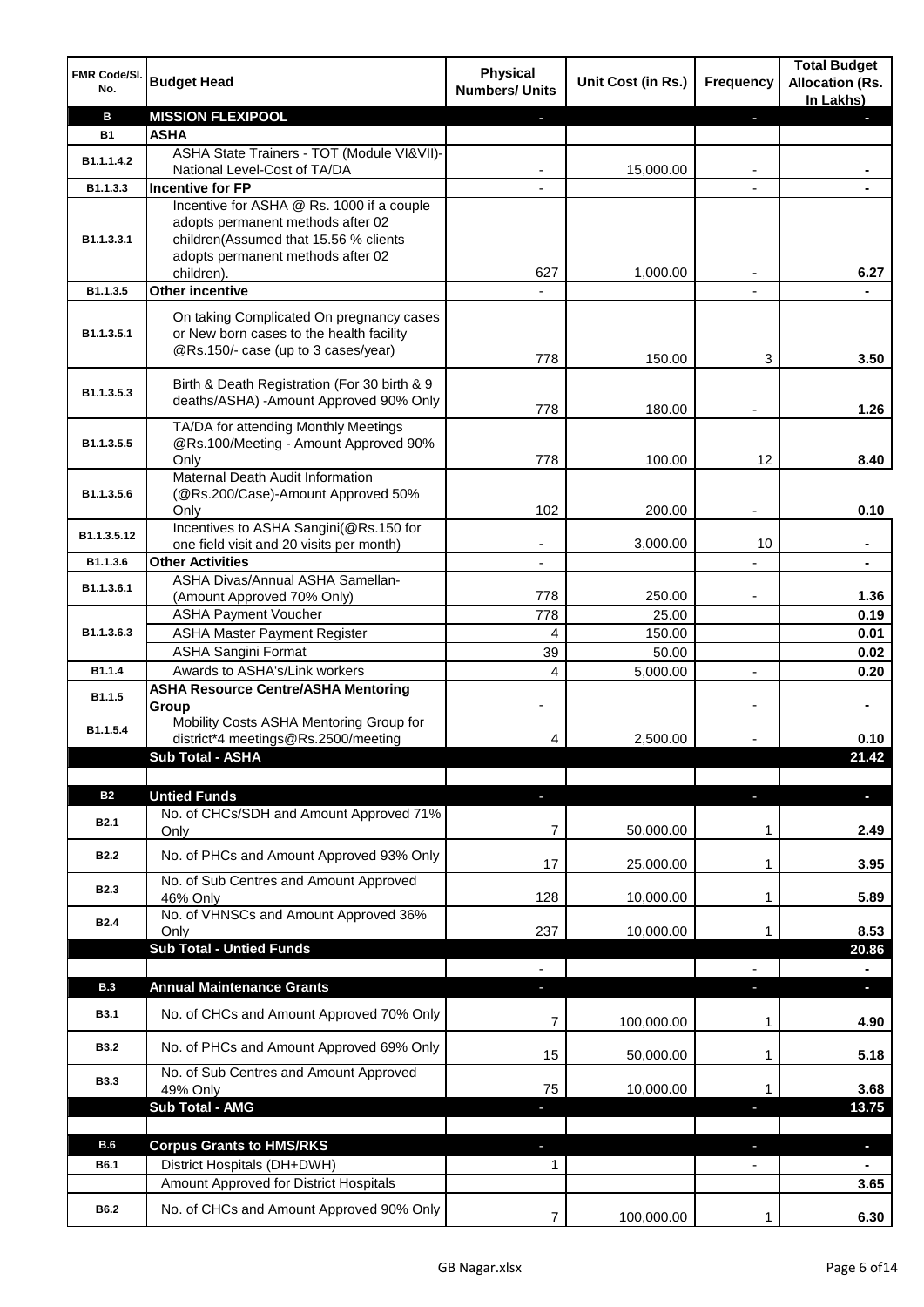| FMR Code/SI.<br>No.     | <b>Budget Head</b>                                                                                                                                           | <b>Physical</b><br><b>Numbers/ Units</b> | Unit Cost (in Rs.) | <b>Frequency</b> | <b>Total Budget</b><br><b>Allocation (Rs.</b><br>In Lakhs) |
|-------------------------|--------------------------------------------------------------------------------------------------------------------------------------------------------------|------------------------------------------|--------------------|------------------|------------------------------------------------------------|
| в                       | <b>MISSION FLEXIPOOL</b>                                                                                                                                     |                                          |                    | r                |                                                            |
| <b>B1</b>               | <b>ASHA</b>                                                                                                                                                  |                                          |                    |                  |                                                            |
| B1.1.1.4.2              | ASHA State Trainers - TOT (Module VI&VII)-                                                                                                                   |                                          |                    |                  |                                                            |
|                         | National Level-Cost of TA/DA                                                                                                                                 |                                          | 15,000.00          |                  |                                                            |
| B1.1.3.3                | <b>Incentive for FP</b>                                                                                                                                      |                                          |                    |                  |                                                            |
| B <sub>1.1</sub> .3.3.1 | Incentive for ASHA @ Rs. 1000 if a couple<br>adopts permanent methods after 02<br>children(Assumed that 15.56 % clients<br>adopts permanent methods after 02 |                                          |                    |                  |                                                            |
|                         | children).                                                                                                                                                   | 627                                      | 1,000.00           |                  | 6.27                                                       |
| B1.1.3.5                | Other incentive                                                                                                                                              |                                          |                    |                  |                                                            |
| B1.1.3.5.1              | On taking Complicated On pregnancy cases<br>or New born cases to the health facility<br>@Rs.150/- case (up to 3 cases/year)                                  | 778                                      | 150.00             | 3                | 3.50                                                       |
|                         |                                                                                                                                                              |                                          |                    |                  |                                                            |
| B1.1.3.5.3              | Birth & Death Registration (For 30 birth & 9<br>deaths/ASHA) -Amount Approved 90% Only                                                                       |                                          |                    |                  |                                                            |
|                         |                                                                                                                                                              | 778                                      | 180.00             |                  | 1.26                                                       |
|                         | TA/DA for attending Monthly Meetings                                                                                                                         |                                          |                    |                  |                                                            |
| B1.1.3.5.5              | @Rs.100/Meeting - Amount Approved 90%                                                                                                                        |                                          |                    |                  |                                                            |
|                         | Only                                                                                                                                                         | 778                                      | 100.00             | 12               | 8.40                                                       |
|                         | Maternal Death Audit Information                                                                                                                             |                                          |                    |                  |                                                            |
| B1.1.3.5.6              | (@Rs.200/Case)-Amount Approved 50%<br>Only                                                                                                                   | 102                                      | 200.00             |                  | 0.10                                                       |
|                         | Incentives to ASHA Sangini(@Rs.150 for                                                                                                                       |                                          |                    |                  |                                                            |
| B1.1.3.5.12             | one field visit and 20 visits per month)                                                                                                                     | ۰                                        | 3,000.00           | 10               | ۰                                                          |
| B1.1.3.6                | <b>Other Activities</b>                                                                                                                                      | $\overline{\phantom{a}}$                 |                    |                  | $\blacksquare$                                             |
|                         | ASHA Divas/Annual ASHA Samellan-                                                                                                                             |                                          |                    |                  |                                                            |
| B1.1.3.6.1              | (Amount Approved 70% Only)                                                                                                                                   | 778                                      | 250.00             |                  | 1.36                                                       |
|                         | <b>ASHA Payment Voucher</b>                                                                                                                                  | 778                                      | 25.00              |                  | 0.19                                                       |
| B1.1.3.6.3              | <b>ASHA Master Payment Register</b>                                                                                                                          | 4                                        | 150.00             |                  | 0.01                                                       |
|                         | <b>ASHA Sangini Format</b>                                                                                                                                   | 39                                       | 50.00              |                  | 0.02                                                       |
| B1.1.4                  | Awards to ASHA's/Link workers                                                                                                                                | 4                                        | 5,000.00           | $\overline{a}$   | 0.20                                                       |
| B1.1.5                  | <b>ASHA Resource Centre/ASHA Mentoring</b>                                                                                                                   |                                          |                    |                  |                                                            |
|                         | Group<br>Mobility Costs ASHA Mentoring Group for                                                                                                             |                                          |                    |                  | ٠                                                          |
| B1.1.5.4                | district*4 meetings@Rs.2500/meeting                                                                                                                          | 4                                        | 2,500.00           |                  | 0.10                                                       |
|                         | <b>Sub Total - ASHA</b>                                                                                                                                      |                                          |                    |                  | 21.42                                                      |
|                         |                                                                                                                                                              |                                          |                    |                  |                                                            |
| <b>B2</b>               | <b>Untied Funds</b>                                                                                                                                          | ٠                                        |                    | a,               | $\blacksquare$                                             |
|                         | No. of CHCs/SDH and Amount Approved 71%                                                                                                                      |                                          |                    |                  |                                                            |
| <b>B2.1</b>             | Only                                                                                                                                                         | 7                                        | 50,000.00          | 1                | 2.49                                                       |
| <b>B2.2</b>             | No. of PHCs and Amount Approved 93% Only                                                                                                                     | 17                                       | 25,000.00          | 1                | 3.95                                                       |
| <b>B2.3</b>             | No. of Sub Centres and Amount Approved                                                                                                                       |                                          |                    |                  |                                                            |
|                         | 46% Only                                                                                                                                                     | 128                                      | 10,000.00          | 1                | 5.89                                                       |
| <b>B2.4</b>             | No. of VHNSCs and Amount Approved 36%<br>Only                                                                                                                | 237                                      | 10,000.00          | 1                | 8.53                                                       |
|                         | <b>Sub Total - Untied Funds</b>                                                                                                                              |                                          |                    |                  | 20.86                                                      |
|                         |                                                                                                                                                              |                                          |                    |                  |                                                            |
| <b>B.3</b>              | <b>Annual Maintenance Grants</b>                                                                                                                             |                                          |                    |                  |                                                            |
|                         |                                                                                                                                                              |                                          |                    |                  |                                                            |
| <b>B3.1</b>             | No. of CHCs and Amount Approved 70% Only                                                                                                                     | 7                                        | 100,000.00         | 1                | 4.90                                                       |
| <b>B3.2</b>             | No. of PHCs and Amount Approved 69% Only                                                                                                                     | 15                                       | 50,000.00          | 1                | 5.18                                                       |
| <b>B3.3</b>             | No. of Sub Centres and Amount Approved                                                                                                                       |                                          |                    |                  |                                                            |
|                         | 49% Only                                                                                                                                                     | 75                                       | 10,000.00          | 1                | 3.68                                                       |
|                         | <b>Sub Total - AMG</b>                                                                                                                                       | ٠                                        |                    | a,               | 13.75                                                      |
|                         |                                                                                                                                                              |                                          |                    |                  |                                                            |
| <b>B.6</b>              | <b>Corpus Grants to HMS/RKS</b>                                                                                                                              |                                          |                    |                  | $\blacksquare$                                             |
| B6.1                    | District Hospitals (DH+DWH)                                                                                                                                  | 1                                        |                    |                  |                                                            |
|                         | Amount Approved for District Hospitals                                                                                                                       |                                          |                    |                  | 3.65                                                       |
| B6.2                    | No. of CHCs and Amount Approved 90% Only                                                                                                                     | $\overline{7}$                           | 100,000.00         | 1                | 6.30                                                       |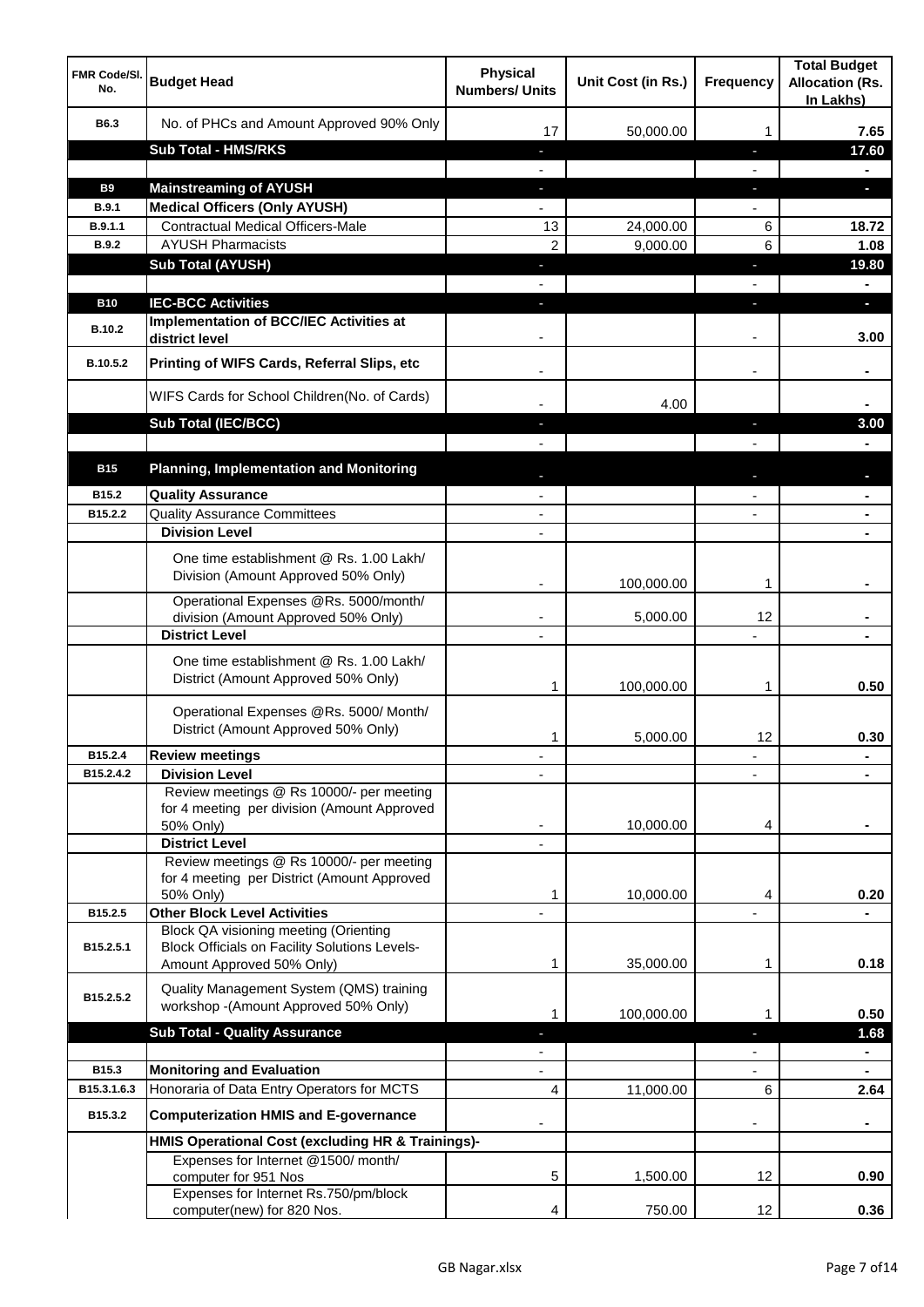| <b>FMR Code/SI.</b><br>No. | <b>Budget Head</b>                                                                                   | <b>Physical</b><br><b>Numbers/ Units</b> | Unit Cost (in Rs.) | <b>Frequency</b>  | <b>Total Budget</b><br><b>Allocation (Rs.</b><br>In Lakhs) |
|----------------------------|------------------------------------------------------------------------------------------------------|------------------------------------------|--------------------|-------------------|------------------------------------------------------------|
| B6.3                       | No. of PHCs and Amount Approved 90% Only                                                             | 17                                       | 50,000.00          | 1                 | 7.65                                                       |
|                            | <b>Sub Total - HMS/RKS</b>                                                                           | ٠                                        |                    | J,                | 17.60                                                      |
|                            |                                                                                                      |                                          |                    |                   | ۰                                                          |
| <b>B9</b>                  | <b>Mainstreaming of AYUSH</b>                                                                        | J,                                       |                    | T                 | o.                                                         |
| B.9.1                      | <b>Medical Officers (Only AYUSH)</b>                                                                 |                                          |                    |                   |                                                            |
| B.9.1.1                    | <b>Contractual Medical Officers-Male</b>                                                             | 13                                       | 24,000.00          | 6                 | 18.72                                                      |
| <b>B.9.2</b>               | <b>AYUSH Pharmacists</b>                                                                             | $\overline{2}$                           | 9,000.00           | 6                 | 1.08                                                       |
|                            | <b>Sub Total (AYUSH)</b>                                                                             | J,                                       |                    | J,                | 19.80                                                      |
| <b>B10</b>                 | <b>IEC-BCC Activities</b>                                                                            |                                          |                    | ı.                | н                                                          |
| <b>B.10.2</b>              | <b>Implementation of BCC/IEC Activities at</b><br>district level                                     |                                          |                    |                   | 3.00                                                       |
| B.10.5.2                   | Printing of WIFS Cards, Referral Slips, etc                                                          |                                          |                    | $\blacksquare$    |                                                            |
|                            | WIFS Cards for School Children(No. of Cards)                                                         |                                          | 4.00               |                   |                                                            |
|                            | Sub Total (IEC/BCC)                                                                                  |                                          |                    | ı                 | 3.00                                                       |
|                            |                                                                                                      |                                          |                    |                   |                                                            |
| <b>B15</b>                 | <b>Planning, Implementation and Monitoring</b>                                                       |                                          |                    |                   |                                                            |
| B15.2                      | <b>Quality Assurance</b>                                                                             |                                          |                    |                   |                                                            |
| B15.2.2                    | <b>Quality Assurance Committees</b>                                                                  | $\overline{\phantom{a}}$                 |                    |                   |                                                            |
|                            | <b>Division Level</b>                                                                                | $\blacksquare$                           |                    |                   | $\blacksquare$                                             |
|                            | One time establishment @ Rs. 1.00 Lakh/<br>Division (Amount Approved 50% Only)                       |                                          | 100,000.00         | 1                 |                                                            |
|                            | Operational Expenses @Rs. 5000/month/<br>division (Amount Approved 50% Only)                         | $\overline{\phantom{a}}$                 | 5,000.00           | 12                |                                                            |
|                            | <b>District Level</b>                                                                                | $\overline{\phantom{a}}$                 |                    |                   |                                                            |
|                            | One time establishment @ Rs. 1.00 Lakh/<br>District (Amount Approved 50% Only)                       | 1                                        | 100,000.00         | 1                 | 0.50                                                       |
|                            | Operational Expenses @Rs. 5000/ Month/<br>District (Amount Approved 50% Only)                        | 1                                        | 5,000.00           | 12                | 0.30                                                       |
| B15.2.4                    | <b>Review meetings</b>                                                                               |                                          |                    | ٠                 |                                                            |
| B15.2.4.2                  | <b>Division Level</b>                                                                                |                                          |                    |                   |                                                            |
|                            | Review meetings @ Rs 10000/- per meeting<br>for 4 meeting per division (Amount Approved<br>50% Only) |                                          | 10,000.00          | 4                 |                                                            |
|                            | <b>District Level</b><br>Review meetings @ Rs 10000/- per meeting                                    |                                          |                    |                   |                                                            |
|                            | for 4 meeting per District (Amount Approved                                                          |                                          |                    |                   |                                                            |
|                            | 50% Only)                                                                                            | 1                                        | 10,000.00          | 4                 | 0.20                                                       |
| B15.2.5                    | <b>Other Block Level Activities</b>                                                                  |                                          |                    |                   |                                                            |
| B15.2.5.1                  | Block QA visioning meeting (Orienting<br><b>Block Officials on Facility Solutions Levels-</b>        |                                          |                    |                   |                                                            |
|                            | Amount Approved 50% Only)                                                                            | 1                                        | 35,000.00          | 1                 | 0.18                                                       |
| B15.2.5.2                  | Quality Management System (QMS) training<br>workshop -(Amount Approved 50% Only)                     | 1                                        | 100,000.00         | 1                 | 0.50                                                       |
|                            | <b>Sub Total - Quality Assurance</b>                                                                 |                                          |                    |                   | 1.68                                                       |
|                            |                                                                                                      |                                          |                    |                   | $\blacksquare$                                             |
| B15.3                      | <b>Monitoring and Evaluation</b>                                                                     |                                          |                    |                   |                                                            |
| B15.3.1.6.3                | Honoraria of Data Entry Operators for MCTS                                                           | 4                                        | 11,000.00          | 6                 | 2.64                                                       |
| B15.3.2                    | <b>Computerization HMIS and E-governance</b>                                                         |                                          |                    |                   |                                                            |
|                            | HMIS Operational Cost (excluding HR & Trainings)-                                                    |                                          |                    |                   |                                                            |
|                            | Expenses for Internet @1500/month/<br>computer for 951 Nos<br>Expenses for Internet Rs.750/pm/block  | 5                                        | 1,500.00           | 12                | 0.90                                                       |
|                            | computer(new) for 820 Nos.                                                                           | 4                                        | 750.00             | $12 \overline{ }$ | 0.36                                                       |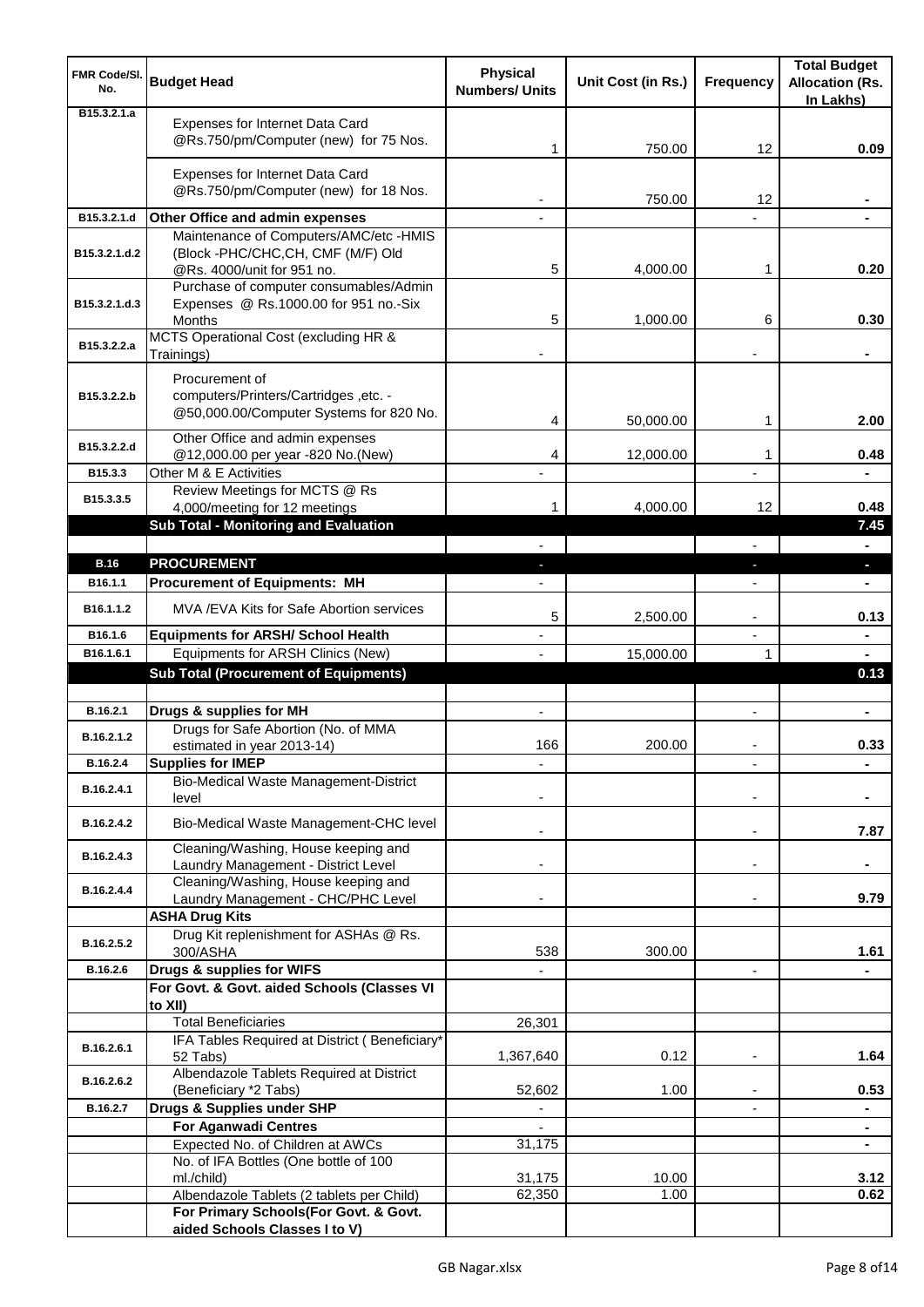| <b>FMR Code/SI.</b><br>No.   | <b>Budget Head</b>                                                                                 | <b>Physical</b><br><b>Numbers/ Units</b> | Unit Cost (in Rs.) | <b>Frequency</b>         | <b>Total Budget</b><br><b>Allocation (Rs.</b><br>In Lakhs) |
|------------------------------|----------------------------------------------------------------------------------------------------|------------------------------------------|--------------------|--------------------------|------------------------------------------------------------|
| B <sub>15</sub> , 3, 2, 1, a | Expenses for Internet Data Card<br>@Rs.750/pm/Computer (new) for 75 Nos.                           | 1                                        | 750.00             | 12                       | 0.09                                                       |
|                              | Expenses for Internet Data Card<br>@Rs.750/pm/Computer (new) for 18 Nos.                           |                                          | 750.00             | 12                       |                                                            |
| B15.3.2.1.d                  | Other Office and admin expenses                                                                    |                                          |                    |                          |                                                            |
|                              | Maintenance of Computers/AMC/etc -HMIS                                                             |                                          |                    |                          |                                                            |
| B15.3.2.1.d.2                | (Block -PHC/CHC,CH, CMF (M/F) Old<br>@Rs. 4000/unit for 951 no.                                    | 5                                        | 4,000.00           | 1                        | 0.20                                                       |
|                              | Purchase of computer consumables/Admin                                                             |                                          |                    |                          |                                                            |
| B15.3.2.1.d.3                | Expenses @ Rs.1000.00 for 951 no.-Six<br>Months                                                    | 5                                        | 1,000.00           | 6                        | 0.30                                                       |
| B15.3.2.2.a                  | MCTS Operational Cost (excluding HR &                                                              |                                          |                    |                          |                                                            |
|                              | Trainings)                                                                                         |                                          |                    |                          |                                                            |
| B15.3.2.2.b                  | Procurement of<br>computers/Printers/Cartridges ,etc. -<br>@50,000.00/Computer Systems for 820 No. | 4                                        | 50,000.00          | 1                        | 2.00                                                       |
| B15.3.2.2.d                  | Other Office and admin expenses                                                                    |                                          |                    |                          |                                                            |
| B15.3.3                      | @12,000.00 per year -820 No.(New)<br>Other M & E Activities                                        | 4                                        | 12,000.00          | 1                        | 0.48                                                       |
|                              | Review Meetings for MCTS @ Rs                                                                      |                                          |                    |                          |                                                            |
| B15.3.3.5                    | 4,000/meeting for 12 meetings                                                                      | 1                                        | 4,000.00           | 12                       | 0.48                                                       |
|                              | Sub Total - Monitoring and Evaluation                                                              |                                          |                    |                          | 7.45                                                       |
|                              |                                                                                                    |                                          |                    |                          | $\blacksquare$                                             |
| <b>B.16</b>                  | <b>PROCUREMENT</b>                                                                                 |                                          |                    | J,                       | a.                                                         |
| B <sub>16.1.1</sub>          | <b>Procurement of Equipments: MH</b>                                                               |                                          |                    |                          |                                                            |
| B16.1.1.2                    | MVA / EVA Kits for Safe Abortion services                                                          | 5                                        | 2,500.00           | $\overline{\phantom{a}}$ | 0.13                                                       |
| B16.1.6<br>B16.1.6.1         | <b>Equipments for ARSH/ School Health</b><br>Equipments for ARSH Clinics (New)                     |                                          | 15,000.00          | $\overline{a}$<br>1      | ۰<br>$\blacksquare$                                        |
|                              | <b>Sub Total (Procurement of Equipments)</b>                                                       |                                          |                    |                          | 0.13                                                       |
|                              |                                                                                                    |                                          |                    |                          |                                                            |
| B.16.2.1                     | Drugs & supplies for MH                                                                            | $\blacksquare$                           |                    | $\blacksquare$           | ٠                                                          |
| B.16.2.1.2                   | Drugs for Safe Abortion (No. of MMA<br>estimated in year 2013-14)                                  | 166                                      | 200.00             |                          | 0.33                                                       |
| B.16.2.4                     | <b>Supplies for IMEP</b>                                                                           |                                          |                    |                          |                                                            |
| B.16.2.4.1                   | Bio-Medical Waste Management-District<br>level                                                     |                                          |                    |                          |                                                            |
| B.16.2.4.2                   | Bio-Medical Waste Management-CHC level                                                             |                                          |                    | $\overline{\phantom{a}}$ | 7.87                                                       |
| B.16.2.4.3                   | Cleaning/Washing, House keeping and<br>Laundry Management - District Level                         |                                          |                    | $\blacksquare$           |                                                            |
|                              | Cleaning/Washing, House keeping and                                                                |                                          |                    |                          |                                                            |
| B.16.2.4.4                   | Laundry Management - CHC/PHC Level                                                                 |                                          |                    |                          | 9.79                                                       |
|                              | <b>ASHA Drug Kits</b>                                                                              |                                          |                    |                          |                                                            |
| B.16.2.5.2                   | Drug Kit replenishment for ASHAs @ Rs.<br>300/ASHA                                                 | 538                                      | 300.00             |                          | 1.61                                                       |
| B.16.2.6                     | Drugs & supplies for WIFS                                                                          |                                          |                    | $\overline{\phantom{a}}$ |                                                            |
|                              | For Govt. & Govt. aided Schools (Classes VI                                                        |                                          |                    |                          |                                                            |
|                              | to XII)                                                                                            |                                          |                    |                          |                                                            |
|                              | <b>Total Beneficiaries</b>                                                                         | 26,301                                   |                    |                          |                                                            |
| B.16.2.6.1                   | IFA Tables Required at District (Beneficiary*<br>52 Tabs)                                          | 1,367,640                                | 0.12               | ٠                        | 1.64                                                       |
| B.16.2.6.2                   | Albendazole Tablets Required at District<br>(Beneficiary *2 Tabs)                                  | 52,602                                   | 1.00               |                          | 0.53                                                       |
| B.16.2.7                     | Drugs & Supplies under SHP                                                                         |                                          |                    |                          | ۰                                                          |
|                              | <b>For Aganwadi Centres</b>                                                                        |                                          |                    |                          | $\blacksquare$                                             |
|                              | Expected No. of Children at AWCs                                                                   | 31,175                                   |                    |                          | $\blacksquare$                                             |
|                              | No. of IFA Bottles (One bottle of 100                                                              |                                          |                    |                          |                                                            |
|                              | ml./child)<br>Albendazole Tablets (2 tablets per Child)                                            | 31,175<br>62,350                         | 10.00<br>1.00      |                          | 3.12<br>0.62                                               |
|                              | For Primary Schools(For Govt. & Govt.                                                              |                                          |                    |                          |                                                            |
|                              | aided Schools Classes I to V)                                                                      |                                          |                    |                          |                                                            |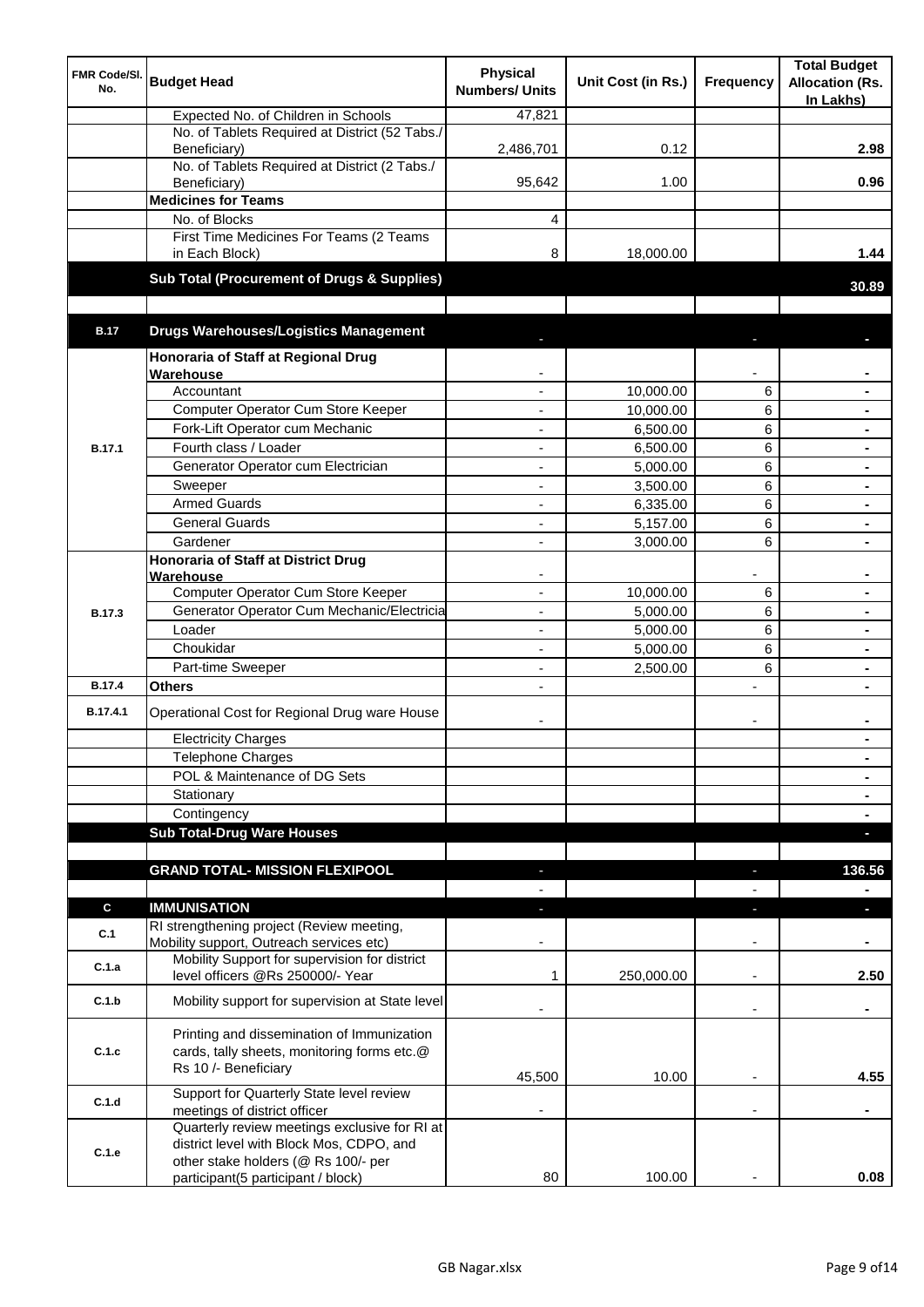| <b>FMR Code/SI.</b><br>No. | <b>Budget Head</b>                                                                                                | <b>Physical</b><br><b>Numbers/ Units</b> | Unit Cost (in Rs.)   | Frequency                | <b>Total Budget</b><br><b>Allocation (Rs.</b><br>In Lakhs) |
|----------------------------|-------------------------------------------------------------------------------------------------------------------|------------------------------------------|----------------------|--------------------------|------------------------------------------------------------|
|                            | Expected No. of Children in Schools                                                                               | 47,821                                   |                      |                          |                                                            |
|                            | No. of Tablets Required at District (52 Tabs./                                                                    |                                          |                      |                          |                                                            |
|                            | Beneficiary)<br>No. of Tablets Required at District (2 Tabs./                                                     | 2,486,701                                | 0.12                 |                          | 2.98                                                       |
|                            | Beneficiary)                                                                                                      | 95,642                                   | 1.00                 |                          | 0.96                                                       |
|                            | <b>Medicines for Teams</b>                                                                                        |                                          |                      |                          |                                                            |
|                            | No. of Blocks                                                                                                     | 4                                        |                      |                          |                                                            |
|                            | First Time Medicines For Teams (2 Teams                                                                           |                                          |                      |                          |                                                            |
|                            | in Each Block)                                                                                                    | 8                                        | 18,000.00            |                          | 1.44                                                       |
|                            | Sub Total (Procurement of Drugs & Supplies)                                                                       |                                          |                      |                          | 30.89                                                      |
|                            |                                                                                                                   |                                          |                      |                          |                                                            |
| <b>B.17</b>                | <b>Drugs Warehouses/Logistics Management</b>                                                                      |                                          |                      |                          |                                                            |
|                            | Honoraria of Staff at Regional Drug                                                                               |                                          |                      |                          |                                                            |
|                            | Warehouse                                                                                                         |                                          |                      |                          |                                                            |
|                            | Accountant                                                                                                        |                                          | 10,000.00            | 6                        |                                                            |
|                            | Computer Operator Cum Store Keeper                                                                                |                                          | 10,000.00            | 6                        | $\blacksquare$                                             |
|                            | Fork-Lift Operator cum Mechanic<br>Fourth class / Loader                                                          |                                          | 6,500.00             | 6                        | $\blacksquare$                                             |
| <b>B.17.1</b>              |                                                                                                                   | ä,                                       | 6,500.00             | 6                        | $\blacksquare$                                             |
|                            | Generator Operator cum Electrician                                                                                | ÷,                                       | 5,000.00             | 6                        |                                                            |
|                            | Sweeper<br><b>Armed Guards</b>                                                                                    | ÷,<br>÷,                                 | 3.500.00<br>6,335.00 | 6<br>6                   |                                                            |
|                            | <b>General Guards</b>                                                                                             | $\blacksquare$                           | 5,157.00             | 6                        |                                                            |
|                            | Gardener                                                                                                          | $\blacksquare$                           | 3,000.00             | 6                        |                                                            |
|                            | <b>Honoraria of Staff at District Drug</b>                                                                        |                                          |                      |                          |                                                            |
|                            | Warehouse                                                                                                         |                                          |                      |                          |                                                            |
|                            | Computer Operator Cum Store Keeper                                                                                |                                          | 10,000.00            | 6                        |                                                            |
| <b>B.17.3</b>              | Generator Operator Cum Mechanic/Electricia                                                                        |                                          | 5,000.00             | 6                        |                                                            |
|                            | Loader                                                                                                            |                                          | 5,000.00             | 6                        |                                                            |
|                            | Choukidar                                                                                                         |                                          | 5,000.00             | 6                        |                                                            |
|                            | Part-time Sweeper                                                                                                 |                                          | 2,500.00             | 6                        |                                                            |
| <b>B.17.4</b>              | Others                                                                                                            |                                          |                      | $\overline{a}$           |                                                            |
| B.17.4.1                   | Operational Cost for Regional Drug ware House                                                                     | ٠                                        |                      | $\overline{\phantom{a}}$ |                                                            |
|                            | <b>Electricity Charges</b>                                                                                        |                                          |                      |                          |                                                            |
|                            | <b>Telephone Charges</b>                                                                                          |                                          |                      |                          | $\blacksquare$                                             |
|                            | POL & Maintenance of DG Sets                                                                                      |                                          |                      |                          | $\blacksquare$                                             |
|                            | Stationary                                                                                                        |                                          |                      |                          | ۰                                                          |
|                            | Contingency<br><b>Sub Total-Drug Ware Houses</b>                                                                  |                                          |                      |                          | $\blacksquare$                                             |
|                            |                                                                                                                   |                                          |                      |                          | г                                                          |
|                            | <b>GRAND TOTAL- MISSION FLEXIPOOL</b>                                                                             |                                          |                      |                          | 136.56                                                     |
|                            |                                                                                                                   |                                          |                      |                          |                                                            |
| C                          | <b>IMMUNISATION</b>                                                                                               |                                          |                      | ٠                        | п                                                          |
| C.1                        | RI strengthening project (Review meeting,<br>Mobility support, Outreach services etc)                             |                                          |                      |                          |                                                            |
| C.1.a                      | Mobility Support for supervision for district<br>level officers @Rs 250000/- Year                                 | 1                                        | 250,000.00           | $\overline{\phantom{a}}$ | 2.50                                                       |
| C.1.b                      | Mobility support for supervision at State level                                                                   |                                          |                      | $\overline{\phantom{a}}$ | ٠                                                          |
| C.1.c                      | Printing and dissemination of Immunization<br>cards, tally sheets, monitoring forms etc.@<br>Rs 10 /- Beneficiary | 45,500                                   | 10.00                |                          | 4.55                                                       |
| C.1.d                      | Support for Quarterly State level review                                                                          |                                          |                      |                          |                                                            |
|                            | meetings of district officer                                                                                      |                                          |                      |                          |                                                            |
| C.1.e                      | Quarterly review meetings exclusive for RI at<br>district level with Block Mos, CDPO, and                         |                                          |                      |                          |                                                            |
|                            | other stake holders (@ Rs 100/- per<br>participant(5 participant / block)                                         | 80                                       | 100.00               |                          | 0.08                                                       |
|                            |                                                                                                                   |                                          |                      |                          |                                                            |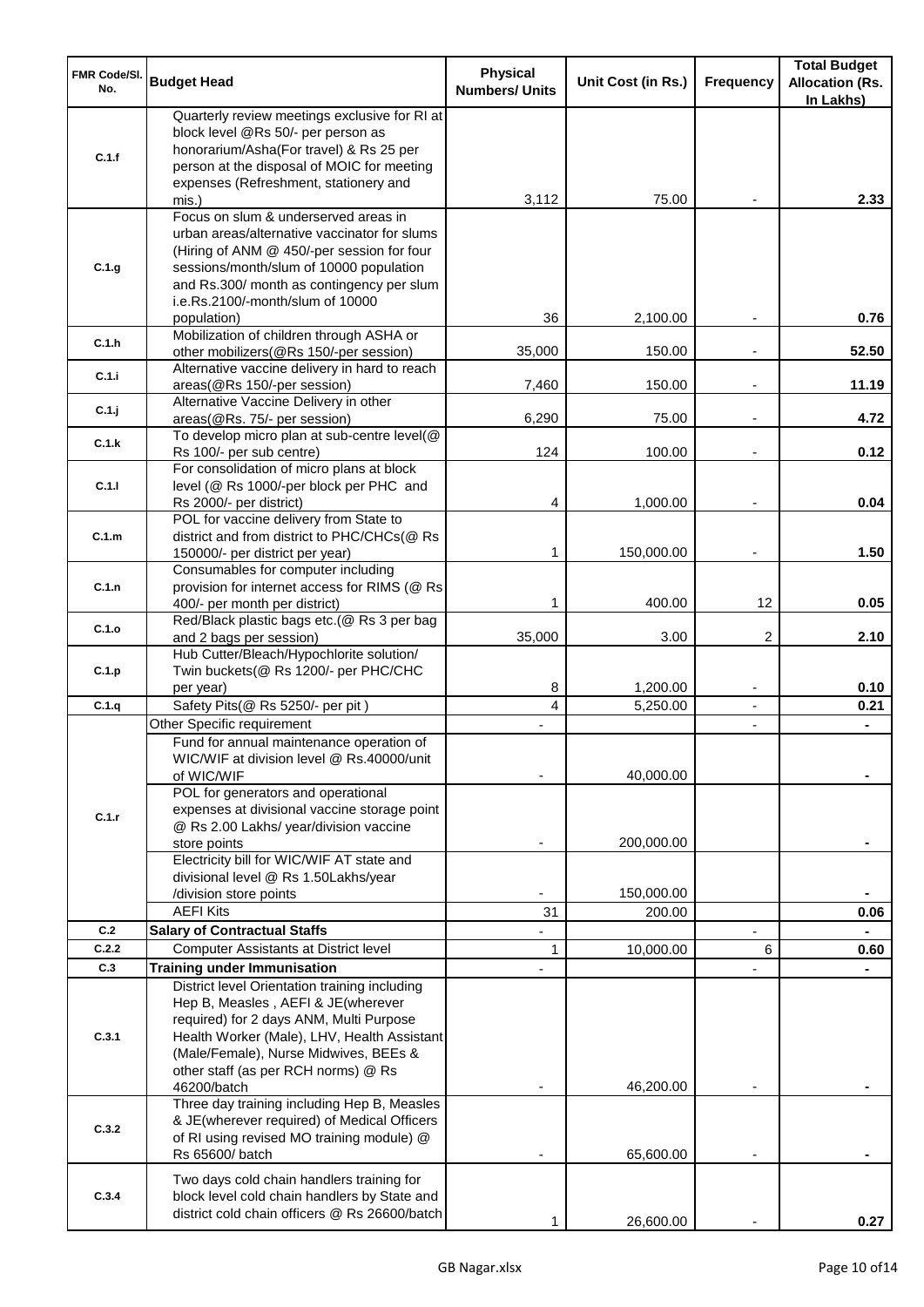| <b>FMR Code/SI.</b><br>No. | <b>Budget Head</b>                                                                                                                                                                                                          | <b>Physical</b><br><b>Numbers/ Units</b> | Unit Cost (in Rs.)   | Frequency                                  | <b>Total Budget</b><br><b>Allocation (Rs.</b><br>In Lakhs) |
|----------------------------|-----------------------------------------------------------------------------------------------------------------------------------------------------------------------------------------------------------------------------|------------------------------------------|----------------------|--------------------------------------------|------------------------------------------------------------|
| C.1.f                      | Quarterly review meetings exclusive for RI at<br>block level @Rs 50/- per person as<br>honorarium/Asha(For travel) & Rs 25 per<br>person at the disposal of MOIC for meeting<br>expenses (Refreshment, stationery and       |                                          |                      |                                            |                                                            |
|                            | mis.)<br>Focus on slum & underserved areas in<br>urban areas/alternative vaccinator for slums                                                                                                                               | 3,112                                    | 75.00                |                                            | 2.33                                                       |
| C.1.g                      | (Hiring of ANM @ 450/-per session for four<br>sessions/month/slum of 10000 population<br>and Rs.300/ month as contingency per slum<br>i.e.Rs.2100/-month/slum of 10000                                                      |                                          |                      |                                            |                                                            |
| C.1.h                      | population)<br>Mobilization of children through ASHA or                                                                                                                                                                     | 36                                       | 2,100.00             |                                            | 0.76                                                       |
| C.1.i                      | other mobilizers(@Rs 150/-per session)<br>Alternative vaccine delivery in hard to reach<br>areas(@Rs 150/-per session)                                                                                                      | 35,000<br>7,460                          | 150.00<br>150.00     | $\overline{\phantom{a}}$                   | 52.50<br>11.19                                             |
| C.1.j                      | Alternative Vaccine Delivery in other<br>areas(@Rs. 75/- per session)                                                                                                                                                       | 6,290                                    | 75.00                | $\overline{\phantom{a}}$                   | 4.72                                                       |
| C.1.k                      | To develop micro plan at sub-centre level(@<br>Rs 100/- per sub centre)                                                                                                                                                     | 124                                      | 100.00               |                                            | 0.12                                                       |
| C.1.1                      | For consolidation of micro plans at block<br>level (@ Rs 1000/-per block per PHC and<br>Rs 2000/- per district)                                                                                                             | 4                                        | 1,000.00             |                                            | 0.04                                                       |
| C.1.m                      | POL for vaccine delivery from State to<br>district and from district to PHC/CHCs(@ Rs                                                                                                                                       | 1                                        |                      |                                            | 1.50                                                       |
| C.1.n                      | 150000/- per district per year)<br>Consumables for computer including<br>provision for internet access for RIMS (@ Rs                                                                                                       |                                          | 150,000.00           | $\overline{\phantom{a}}$                   |                                                            |
| C.1.o                      | 400/- per month per district)<br>Red/Black plastic bags etc.(@ Rs 3 per bag                                                                                                                                                 | 1                                        | 400.00               | 12                                         | 0.05                                                       |
| C.1.p                      | and 2 bags per session)<br>Hub Cutter/Bleach/Hypochlorite solution/<br>Twin buckets(@ Rs 1200/- per PHC/CHC                                                                                                                 | 35,000                                   | 3.00                 | 2                                          | 2.10                                                       |
| C.1.q                      | per year)<br>Safety Pits(@ Rs 5250/- per pit)                                                                                                                                                                               | 8<br>4                                   | 1,200.00<br>5,250.00 | $\overline{\phantom{a}}$<br>$\blacksquare$ | 0.10<br>0.21                                               |
|                            | Other Specific requirement                                                                                                                                                                                                  |                                          |                      | $\blacksquare$                             |                                                            |
|                            | Fund for annual maintenance operation of<br>WIC/WIF at division level @ Rs.40000/unit<br>of WIC/WIF                                                                                                                         |                                          | 40,000.00            |                                            |                                                            |
| C.1.r                      | POL for generators and operational<br>expenses at divisional vaccine storage point<br>@ Rs 2.00 Lakhs/ year/division vaccine                                                                                                |                                          |                      |                                            |                                                            |
|                            | store points<br>Electricity bill for WIC/WIF AT state and<br>divisional level @ Rs 1.50Lakhs/year                                                                                                                           |                                          | 200,000.00           |                                            |                                                            |
|                            | /division store points                                                                                                                                                                                                      |                                          | 150,000.00           |                                            |                                                            |
|                            | <b>AEFI Kits</b>                                                                                                                                                                                                            | 31                                       | 200.00               |                                            | 0.06                                                       |
| C.2                        | <b>Salary of Contractual Staffs</b>                                                                                                                                                                                         |                                          |                      |                                            |                                                            |
| C.2.2                      | Computer Assistants at District level                                                                                                                                                                                       | 1                                        | 10,000.00            | 6                                          | 0.60                                                       |
| C.3                        | <b>Training under Immunisation</b><br>District level Orientation training including                                                                                                                                         |                                          |                      |                                            |                                                            |
| C.3.1                      | Hep B, Measles, AEFI & JE(wherever<br>required) for 2 days ANM, Multi Purpose<br>Health Worker (Male), LHV, Health Assistant<br>(Male/Female), Nurse Midwives, BEEs &<br>other staff (as per RCH norms) @ Rs<br>46200/batch |                                          | 46,200.00            |                                            |                                                            |
| C.3.2                      | Three day training including Hep B, Measles<br>& JE(wherever required) of Medical Officers<br>of RI using revised MO training module) @<br>Rs 65600/ batch                                                                  |                                          | 65,600.00            |                                            |                                                            |
| C.3.4                      | Two days cold chain handlers training for<br>block level cold chain handlers by State and<br>district cold chain officers @ Rs 26600/batch                                                                                  |                                          | 26,600.00            |                                            | 0.27                                                       |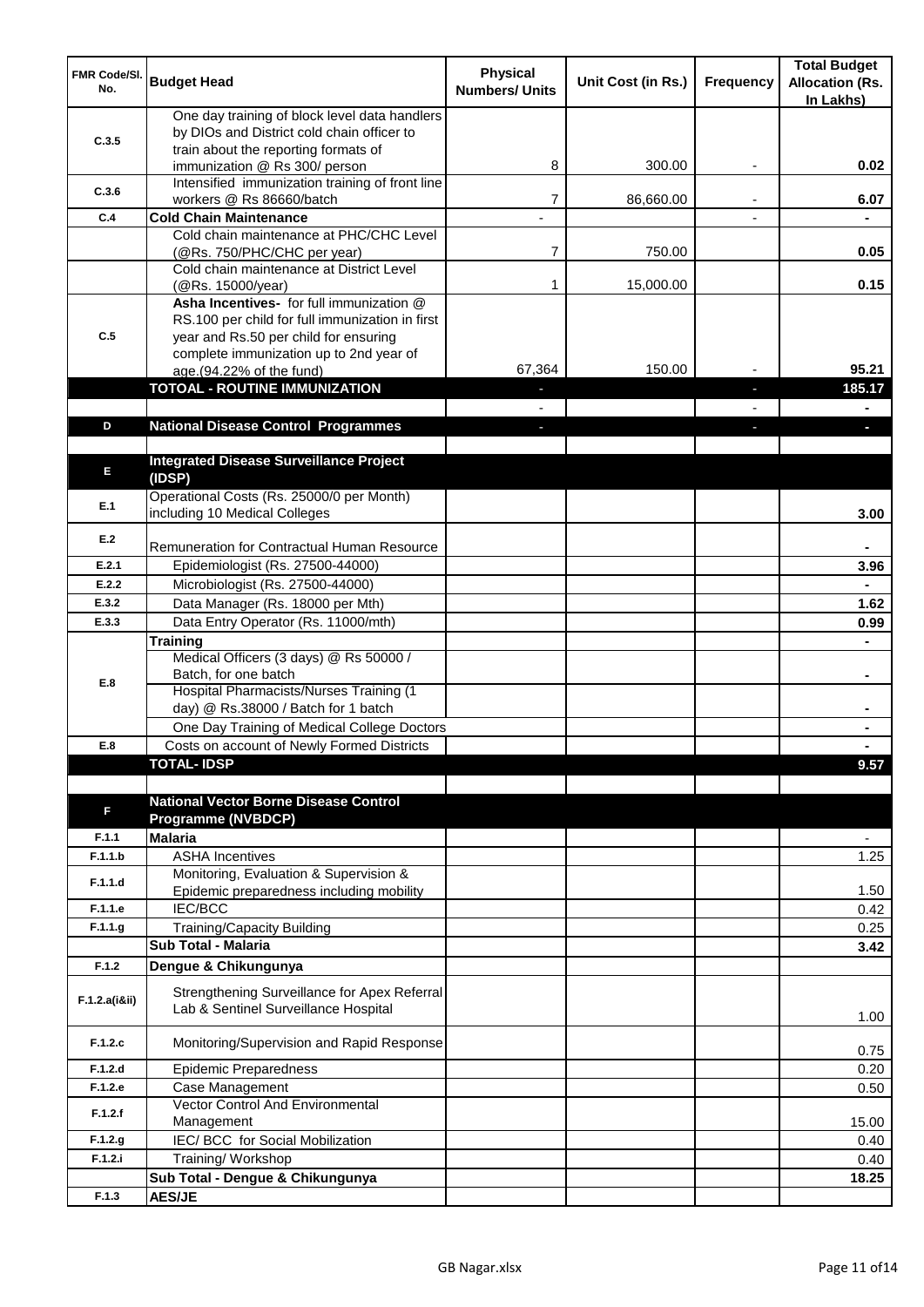| <b>FMR Code/SI.</b><br>No. | <b>Budget Head</b>                                                                                                                   | <b>Physical</b><br><b>Numbers/ Units</b> | Unit Cost (in Rs.) | Frequency | <b>Total Budget</b><br><b>Allocation (Rs.</b><br>In Lakhs) |
|----------------------------|--------------------------------------------------------------------------------------------------------------------------------------|------------------------------------------|--------------------|-----------|------------------------------------------------------------|
| C.3.5                      | One day training of block level data handlers<br>by DIOs and District cold chain officer to                                          |                                          |                    |           |                                                            |
|                            | train about the reporting formats of<br>immunization @ Rs 300/ person                                                                | 8                                        | 300.00             | ٠         | 0.02                                                       |
| C.3.6                      | Intensified immunization training of front line<br>workers @ Rs 86660/batch                                                          | 7                                        | 86,660.00          |           | 6.07                                                       |
| C.4                        | <b>Cold Chain Maintenance</b>                                                                                                        |                                          |                    |           |                                                            |
|                            | Cold chain maintenance at PHC/CHC Level<br>(@Rs. 750/PHC/CHC per year)                                                               | $\overline{7}$                           | 750.00             |           | 0.05                                                       |
|                            | Cold chain maintenance at District Level<br>(@Rs. 15000/year)                                                                        | 1                                        | 15,000.00          |           | 0.15                                                       |
| C.5                        | Asha Incentives- for full immunization @<br>RS.100 per child for full immunization in first<br>year and Rs.50 per child for ensuring |                                          |                    |           |                                                            |
|                            | complete immunization up to 2nd year of<br>age.(94.22% of the fund)                                                                  | 67,364                                   | 150.00             |           | 95.21                                                      |
|                            | <b>TOTOAL - ROUTINE IMMUNIZATION</b>                                                                                                 |                                          |                    |           | 185.17                                                     |
|                            |                                                                                                                                      |                                          |                    |           |                                                            |
| D                          | <b>National Disease Control Programmes</b>                                                                                           |                                          |                    |           |                                                            |
|                            |                                                                                                                                      |                                          |                    |           |                                                            |
| E                          | <b>Integrated Disease Surveillance Project</b><br>(IDSP)                                                                             |                                          |                    |           |                                                            |
| E.1                        | Operational Costs (Rs. 25000/0 per Month)<br>including 10 Medical Colleges                                                           |                                          |                    |           | 3.00                                                       |
| E.2                        | Remuneration for Contractual Human Resource                                                                                          |                                          |                    |           |                                                            |
| E.2.1                      | Epidemiologist (Rs. 27500-44000)                                                                                                     |                                          |                    |           | 3.96                                                       |
| E.2.2                      | Microbiologist (Rs. 27500-44000)                                                                                                     |                                          |                    |           |                                                            |
| E.3.2                      | Data Manager (Rs. 18000 per Mth)                                                                                                     |                                          |                    |           | 1.62                                                       |
| E.3.3                      | Data Entry Operator (Rs. 11000/mth)                                                                                                  |                                          |                    |           | 0.99                                                       |
|                            | <b>Training</b>                                                                                                                      |                                          |                    |           |                                                            |
| E.8                        | Medical Officers (3 days) @ Rs 50000 /<br>Batch, for one batch                                                                       |                                          |                    |           | $\blacksquare$                                             |
|                            | Hospital Pharmacists/Nurses Training (1<br>day) @ Rs.38000 / Batch for 1 batch                                                       |                                          |                    |           |                                                            |
|                            | One Day Training of Medical College Doctors                                                                                          |                                          |                    |           |                                                            |
| E.8                        | Costs on account of Newly Formed Districts                                                                                           |                                          |                    |           |                                                            |
|                            | <b>TOTAL-IDSP</b>                                                                                                                    |                                          |                    |           | 9.57                                                       |
| F                          | <b>National Vector Borne Disease Control</b><br><b>Programme (NVBDCP)</b>                                                            |                                          |                    |           |                                                            |
| F.1.1                      | <b>Malaria</b>                                                                                                                       |                                          |                    |           | $\overline{\phantom{a}}$                                   |
| F.1.1.b                    | <b>ASHA Incentives</b>                                                                                                               |                                          |                    |           | 1.25                                                       |
| F.1.1.d                    | Monitoring, Evaluation & Supervision &<br>Epidemic preparedness including mobility                                                   |                                          |                    |           | 1.50                                                       |
| F.1.1.e                    | <b>IEC/BCC</b>                                                                                                                       |                                          |                    |           | 0.42                                                       |
| F.1.1.g                    | Training/Capacity Building                                                                                                           |                                          |                    |           | 0.25                                                       |
|                            | <b>Sub Total - Malaria</b>                                                                                                           |                                          |                    |           | 3.42                                                       |
| F.1.2                      | Dengue & Chikungunya                                                                                                                 |                                          |                    |           |                                                            |
| F.1.2.a(iⅈ)                | Strengthening Surveillance for Apex Referral<br>Lab & Sentinel Surveillance Hospital                                                 |                                          |                    |           | 1.00                                                       |
| F.1.2.c                    | Monitoring/Supervision and Rapid Response                                                                                            |                                          |                    |           | 0.75                                                       |
| F.1.2.d                    | <b>Epidemic Preparedness</b>                                                                                                         |                                          |                    |           | 0.20                                                       |
| F.1.2.e                    | Case Management<br>Vector Control And Environmental                                                                                  |                                          |                    |           | 0.50                                                       |
| F.1.2.f                    | Management                                                                                                                           |                                          |                    |           | 15.00                                                      |
| F.1.2.g                    | IEC/ BCC for Social Mobilization                                                                                                     |                                          |                    |           | 0.40                                                       |
| F.1.2.i                    | Training/ Workshop                                                                                                                   |                                          |                    |           | 0.40                                                       |
|                            | Sub Total - Dengue & Chikungunya                                                                                                     |                                          |                    |           | 18.25                                                      |
| F.1.3                      | <b>AES/JE</b>                                                                                                                        |                                          |                    |           |                                                            |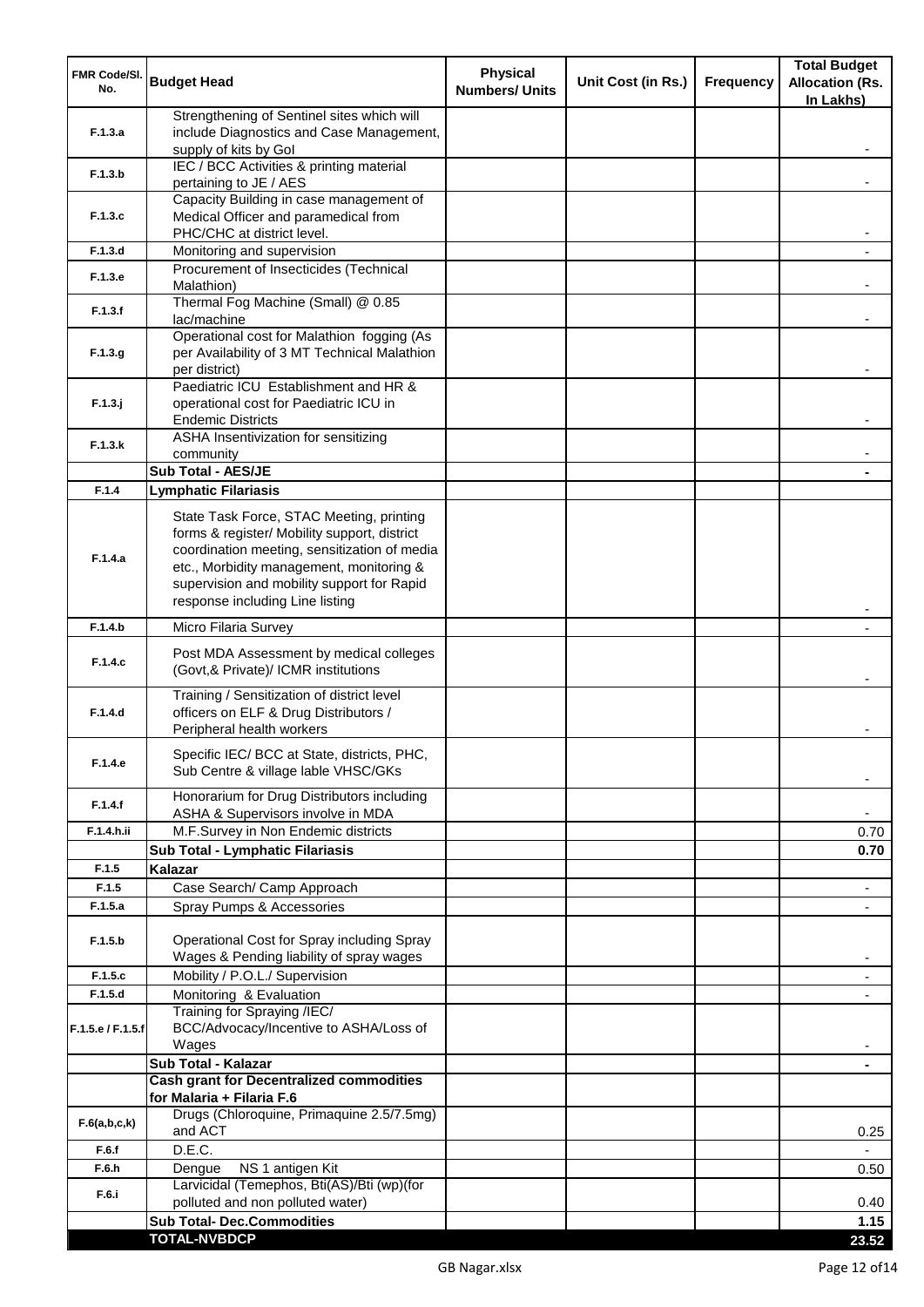| <b>FMR Code/SI.</b><br>No. | <b>Budget Head</b>                                                                                                                                                                                                                                                    | <b>Physical</b><br><b>Numbers/ Units</b> | Unit Cost (in Rs.) | <b>Frequency</b> | <b>Total Budget</b><br><b>Allocation (Rs.</b><br>In Lakhs) |
|----------------------------|-----------------------------------------------------------------------------------------------------------------------------------------------------------------------------------------------------------------------------------------------------------------------|------------------------------------------|--------------------|------------------|------------------------------------------------------------|
| F.1.3.a                    | Strengthening of Sentinel sites which will<br>include Diagnostics and Case Management,<br>supply of kits by Gol                                                                                                                                                       |                                          |                    |                  |                                                            |
| F.1.3.b                    | IEC / BCC Activities & printing material<br>pertaining to JE / AES                                                                                                                                                                                                    |                                          |                    |                  |                                                            |
| F.1.3.c                    | Capacity Building in case management of<br>Medical Officer and paramedical from                                                                                                                                                                                       |                                          |                    |                  |                                                            |
| F.1.3.d                    | PHC/CHC at district level.<br>Monitoring and supervision                                                                                                                                                                                                              |                                          |                    |                  |                                                            |
|                            | Procurement of Insecticides (Technical                                                                                                                                                                                                                                |                                          |                    |                  |                                                            |
| F.1.3.e                    | Malathion)<br>Thermal Fog Machine (Small) @ 0.85                                                                                                                                                                                                                      |                                          |                    |                  |                                                            |
| F.1.3.f                    | lac/machine                                                                                                                                                                                                                                                           |                                          |                    |                  |                                                            |
| F.1.3.g                    | Operational cost for Malathion fogging (As<br>per Availability of 3 MT Technical Malathion<br>per district)                                                                                                                                                           |                                          |                    |                  |                                                            |
| $F.1.3.$ j                 | Paediatric ICU Establishment and HR &<br>operational cost for Paediatric ICU in<br><b>Endemic Districts</b>                                                                                                                                                           |                                          |                    |                  |                                                            |
| F.1.3.k                    | ASHA Insentivization for sensitizing                                                                                                                                                                                                                                  |                                          |                    |                  |                                                            |
|                            | community<br>Sub Total - AES/JE                                                                                                                                                                                                                                       |                                          |                    |                  |                                                            |
| F.1.4                      | <b>Lymphatic Filariasis</b>                                                                                                                                                                                                                                           |                                          |                    |                  |                                                            |
| F.1.4.a                    | State Task Force, STAC Meeting, printing<br>forms & register/ Mobility support, district<br>coordination meeting, sensitization of media<br>etc., Morbidity management, monitoring &<br>supervision and mobility support for Rapid<br>response including Line listing |                                          |                    |                  |                                                            |
| F.1.4.b                    | Micro Filaria Survey                                                                                                                                                                                                                                                  |                                          |                    |                  |                                                            |
| F.1.4.c                    | Post MDA Assessment by medical colleges<br>(Govt,& Private)/ ICMR institutions                                                                                                                                                                                        |                                          |                    |                  |                                                            |
| F.1.4.d                    | Training / Sensitization of district level<br>officers on ELF & Drug Distributors /<br>Peripheral health workers                                                                                                                                                      |                                          |                    |                  |                                                            |
| F.1.4.e                    | Specific IEC/ BCC at State, districts, PHC,<br>Sub Centre & village lable VHSC/GKs                                                                                                                                                                                    |                                          |                    |                  |                                                            |
| F.1.4.f                    | Honorarium for Drug Distributors including<br>ASHA & Supervisors involve in MDA                                                                                                                                                                                       |                                          |                    |                  | ٠                                                          |
| F.1.4.h.ii                 | M.F.Survey in Non Endemic districts                                                                                                                                                                                                                                   |                                          |                    |                  | 0.70                                                       |
|                            | Sub Total - Lymphatic Filariasis                                                                                                                                                                                                                                      |                                          |                    |                  | 0.70                                                       |
| F.1.5<br>F.1.5             | Kalazar<br>Case Search/ Camp Approach                                                                                                                                                                                                                                 |                                          |                    |                  | $\overline{\phantom{a}}$                                   |
| F.1.5.a                    | Spray Pumps & Accessories                                                                                                                                                                                                                                             |                                          |                    |                  | $\blacksquare$                                             |
| F.1.5.b                    | Operational Cost for Spray including Spray<br>Wages & Pending liability of spray wages                                                                                                                                                                                |                                          |                    |                  |                                                            |
| F.1.5.c                    | Mobility / P.O.L./ Supervision                                                                                                                                                                                                                                        |                                          |                    |                  |                                                            |
| F.1.5.d                    | Monitoring & Evaluation                                                                                                                                                                                                                                               |                                          |                    |                  |                                                            |
| F.1.5.e / F.1.5.f          | Training for Spraying /IEC/<br>BCC/Advocacy/Incentive to ASHA/Loss of<br>Wages                                                                                                                                                                                        |                                          |                    |                  |                                                            |
|                            | Sub Total - Kalazar                                                                                                                                                                                                                                                   |                                          |                    |                  | $\blacksquare$                                             |
|                            | <b>Cash grant for Decentralized commodities</b><br>for Malaria + Filaria F.6                                                                                                                                                                                          |                                          |                    |                  |                                                            |
| F.6(a,b,c,k)               | Drugs (Chloroquine, Primaquine 2.5/7.5mg)<br>and ACT                                                                                                                                                                                                                  |                                          |                    |                  | 0.25                                                       |
| F.6.f                      | D.E.C.                                                                                                                                                                                                                                                                |                                          |                    |                  |                                                            |
| F.6.h                      | NS 1 antigen Kit<br>Dengue<br>Larvicidal (Temephos, Bti(AS)/Bti (wp)(for                                                                                                                                                                                              |                                          |                    |                  | 0.50                                                       |
| F.6.i                      | polluted and non polluted water)                                                                                                                                                                                                                                      |                                          |                    |                  | 0.40                                                       |
|                            | <b>Sub Total- Dec.Commodities</b>                                                                                                                                                                                                                                     |                                          |                    |                  | 1.15                                                       |
|                            | <b>TOTAL-NVBDCP</b>                                                                                                                                                                                                                                                   |                                          |                    |                  | 23.52                                                      |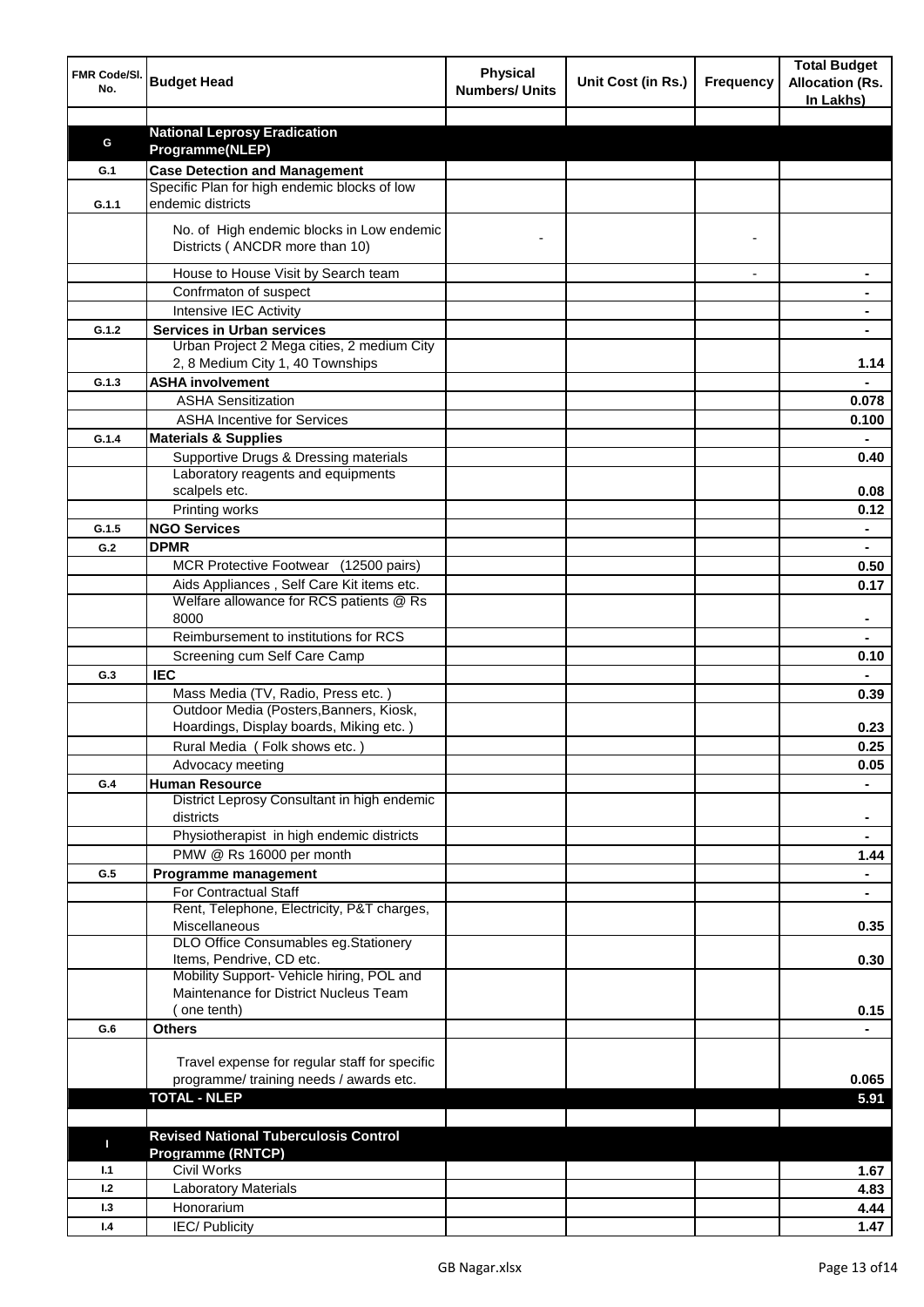| <b>National Leprosy Eradication</b><br>G<br>Programme(NLEP)<br><b>Case Detection and Management</b><br>G.1<br>Specific Plan for high endemic blocks of low<br>endemic districts<br>G.1.1<br>No. of High endemic blocks in Low endemic<br>Districts (ANCDR more than 10)<br>House to House Visit by Search team<br>Confrmaton of suspect<br>Intensive IEC Activity<br><b>Services in Urban services</b><br>G.1.2<br>Urban Project 2 Mega cities, 2 medium City<br>2, 8 Medium City 1, 40 Townships<br>1.14<br><b>ASHA involvement</b><br>G.1.3<br><b>ASHA Sensitization</b><br>0.078<br><b>ASHA Incentive for Services</b><br>0.100<br>G.1.4<br><b>Materials &amp; Supplies</b><br>Supportive Drugs & Dressing materials<br>0.40<br>Laboratory reagents and equipments<br>scalpels etc.<br>0.08<br>Printing works<br>0.12<br><b>NGO Services</b><br>G.1.5<br>$\blacksquare$<br><b>DPMR</b><br>G.2<br>$\blacksquare$<br>MCR Protective Footwear (12500 pairs)<br>0.50<br>Aids Appliances, Self Care Kit items etc.<br>0.17<br>Welfare allowance for RCS patients @ Rs<br>8000<br>Reimbursement to institutions for RCS<br>Screening cum Self Care Camp<br>0.10<br><b>IEC</b><br>G.3<br>Mass Media (TV, Radio, Press etc.)<br>0.39<br>Outdoor Media (Posters, Banners, Kiosk,<br>Hoardings, Display boards, Miking etc.)<br>0.23<br>Rural Media (Folk shows etc.)<br>0.25<br>0.05<br>Advocacy meeting<br><b>Human Resource</b><br>G.4<br>District Leprosy Consultant in high endemic<br>districts<br>$\blacksquare$<br>Physiotherapist in high endemic districts<br>$\blacksquare$<br>PMW @ Rs 16000 per month<br>1.44<br>Programme management<br>G.5<br>$\blacksquare$<br>For Contractual Staff<br>Rent, Telephone, Electricity, P&T charges,<br>Miscellaneous<br>0.35<br>DLO Office Consumables eg.Stationery<br>Items, Pendrive, CD etc.<br>0.30<br>Mobility Support- Vehicle hiring, POL and<br>Maintenance for District Nucleus Team<br>one tenth)<br>0.15<br><b>Others</b><br>G.6<br>Travel expense for regular staff for specific<br>programme/ training needs / awards etc.<br>0.065<br><b>TOTAL - NLEP</b><br>5.91<br><b>Revised National Tuberculosis Control</b><br>П<br><b>Programme (RNTCP)</b><br><b>Civil Works</b><br>1.1<br>1.67<br>1.2<br><b>Laboratory Materials</b><br>4.83 | FMR Code/SI.<br>No. | <b>Budget Head</b> | <b>Physical</b><br><b>Numbers/ Units</b> | Unit Cost (in Rs.) | <b>Frequency</b> | <b>Total Budget</b><br><b>Allocation (Rs.</b><br>In Lakhs) |
|----------------------------------------------------------------------------------------------------------------------------------------------------------------------------------------------------------------------------------------------------------------------------------------------------------------------------------------------------------------------------------------------------------------------------------------------------------------------------------------------------------------------------------------------------------------------------------------------------------------------------------------------------------------------------------------------------------------------------------------------------------------------------------------------------------------------------------------------------------------------------------------------------------------------------------------------------------------------------------------------------------------------------------------------------------------------------------------------------------------------------------------------------------------------------------------------------------------------------------------------------------------------------------------------------------------------------------------------------------------------------------------------------------------------------------------------------------------------------------------------------------------------------------------------------------------------------------------------------------------------------------------------------------------------------------------------------------------------------------------------------------------------------------------------------------------------------------------------------------------------------------------------------------------------------------------------------------------------------------------------------------------------------------------------------------------------------------------------------------------------------------------------------------------------------------------------------------------------------------------------------------------------------------------------|---------------------|--------------------|------------------------------------------|--------------------|------------------|------------------------------------------------------------|
|                                                                                                                                                                                                                                                                                                                                                                                                                                                                                                                                                                                                                                                                                                                                                                                                                                                                                                                                                                                                                                                                                                                                                                                                                                                                                                                                                                                                                                                                                                                                                                                                                                                                                                                                                                                                                                                                                                                                                                                                                                                                                                                                                                                                                                                                                              |                     |                    |                                          |                    |                  |                                                            |
|                                                                                                                                                                                                                                                                                                                                                                                                                                                                                                                                                                                                                                                                                                                                                                                                                                                                                                                                                                                                                                                                                                                                                                                                                                                                                                                                                                                                                                                                                                                                                                                                                                                                                                                                                                                                                                                                                                                                                                                                                                                                                                                                                                                                                                                                                              |                     |                    |                                          |                    |                  |                                                            |
|                                                                                                                                                                                                                                                                                                                                                                                                                                                                                                                                                                                                                                                                                                                                                                                                                                                                                                                                                                                                                                                                                                                                                                                                                                                                                                                                                                                                                                                                                                                                                                                                                                                                                                                                                                                                                                                                                                                                                                                                                                                                                                                                                                                                                                                                                              |                     |                    |                                          |                    |                  |                                                            |
|                                                                                                                                                                                                                                                                                                                                                                                                                                                                                                                                                                                                                                                                                                                                                                                                                                                                                                                                                                                                                                                                                                                                                                                                                                                                                                                                                                                                                                                                                                                                                                                                                                                                                                                                                                                                                                                                                                                                                                                                                                                                                                                                                                                                                                                                                              |                     |                    |                                          |                    |                  |                                                            |
|                                                                                                                                                                                                                                                                                                                                                                                                                                                                                                                                                                                                                                                                                                                                                                                                                                                                                                                                                                                                                                                                                                                                                                                                                                                                                                                                                                                                                                                                                                                                                                                                                                                                                                                                                                                                                                                                                                                                                                                                                                                                                                                                                                                                                                                                                              |                     |                    |                                          |                    |                  |                                                            |
|                                                                                                                                                                                                                                                                                                                                                                                                                                                                                                                                                                                                                                                                                                                                                                                                                                                                                                                                                                                                                                                                                                                                                                                                                                                                                                                                                                                                                                                                                                                                                                                                                                                                                                                                                                                                                                                                                                                                                                                                                                                                                                                                                                                                                                                                                              |                     |                    |                                          |                    |                  |                                                            |
|                                                                                                                                                                                                                                                                                                                                                                                                                                                                                                                                                                                                                                                                                                                                                                                                                                                                                                                                                                                                                                                                                                                                                                                                                                                                                                                                                                                                                                                                                                                                                                                                                                                                                                                                                                                                                                                                                                                                                                                                                                                                                                                                                                                                                                                                                              |                     |                    |                                          |                    |                  |                                                            |
|                                                                                                                                                                                                                                                                                                                                                                                                                                                                                                                                                                                                                                                                                                                                                                                                                                                                                                                                                                                                                                                                                                                                                                                                                                                                                                                                                                                                                                                                                                                                                                                                                                                                                                                                                                                                                                                                                                                                                                                                                                                                                                                                                                                                                                                                                              |                     |                    |                                          |                    |                  |                                                            |
|                                                                                                                                                                                                                                                                                                                                                                                                                                                                                                                                                                                                                                                                                                                                                                                                                                                                                                                                                                                                                                                                                                                                                                                                                                                                                                                                                                                                                                                                                                                                                                                                                                                                                                                                                                                                                                                                                                                                                                                                                                                                                                                                                                                                                                                                                              |                     |                    |                                          |                    |                  |                                                            |
|                                                                                                                                                                                                                                                                                                                                                                                                                                                                                                                                                                                                                                                                                                                                                                                                                                                                                                                                                                                                                                                                                                                                                                                                                                                                                                                                                                                                                                                                                                                                                                                                                                                                                                                                                                                                                                                                                                                                                                                                                                                                                                                                                                                                                                                                                              |                     |                    |                                          |                    |                  |                                                            |
|                                                                                                                                                                                                                                                                                                                                                                                                                                                                                                                                                                                                                                                                                                                                                                                                                                                                                                                                                                                                                                                                                                                                                                                                                                                                                                                                                                                                                                                                                                                                                                                                                                                                                                                                                                                                                                                                                                                                                                                                                                                                                                                                                                                                                                                                                              |                     |                    |                                          |                    |                  |                                                            |
|                                                                                                                                                                                                                                                                                                                                                                                                                                                                                                                                                                                                                                                                                                                                                                                                                                                                                                                                                                                                                                                                                                                                                                                                                                                                                                                                                                                                                                                                                                                                                                                                                                                                                                                                                                                                                                                                                                                                                                                                                                                                                                                                                                                                                                                                                              |                     |                    |                                          |                    |                  |                                                            |
|                                                                                                                                                                                                                                                                                                                                                                                                                                                                                                                                                                                                                                                                                                                                                                                                                                                                                                                                                                                                                                                                                                                                                                                                                                                                                                                                                                                                                                                                                                                                                                                                                                                                                                                                                                                                                                                                                                                                                                                                                                                                                                                                                                                                                                                                                              |                     |                    |                                          |                    |                  |                                                            |
|                                                                                                                                                                                                                                                                                                                                                                                                                                                                                                                                                                                                                                                                                                                                                                                                                                                                                                                                                                                                                                                                                                                                                                                                                                                                                                                                                                                                                                                                                                                                                                                                                                                                                                                                                                                                                                                                                                                                                                                                                                                                                                                                                                                                                                                                                              |                     |                    |                                          |                    |                  |                                                            |
|                                                                                                                                                                                                                                                                                                                                                                                                                                                                                                                                                                                                                                                                                                                                                                                                                                                                                                                                                                                                                                                                                                                                                                                                                                                                                                                                                                                                                                                                                                                                                                                                                                                                                                                                                                                                                                                                                                                                                                                                                                                                                                                                                                                                                                                                                              |                     |                    |                                          |                    |                  |                                                            |
|                                                                                                                                                                                                                                                                                                                                                                                                                                                                                                                                                                                                                                                                                                                                                                                                                                                                                                                                                                                                                                                                                                                                                                                                                                                                                                                                                                                                                                                                                                                                                                                                                                                                                                                                                                                                                                                                                                                                                                                                                                                                                                                                                                                                                                                                                              |                     |                    |                                          |                    |                  |                                                            |
|                                                                                                                                                                                                                                                                                                                                                                                                                                                                                                                                                                                                                                                                                                                                                                                                                                                                                                                                                                                                                                                                                                                                                                                                                                                                                                                                                                                                                                                                                                                                                                                                                                                                                                                                                                                                                                                                                                                                                                                                                                                                                                                                                                                                                                                                                              |                     |                    |                                          |                    |                  |                                                            |
|                                                                                                                                                                                                                                                                                                                                                                                                                                                                                                                                                                                                                                                                                                                                                                                                                                                                                                                                                                                                                                                                                                                                                                                                                                                                                                                                                                                                                                                                                                                                                                                                                                                                                                                                                                                                                                                                                                                                                                                                                                                                                                                                                                                                                                                                                              |                     |                    |                                          |                    |                  |                                                            |
|                                                                                                                                                                                                                                                                                                                                                                                                                                                                                                                                                                                                                                                                                                                                                                                                                                                                                                                                                                                                                                                                                                                                                                                                                                                                                                                                                                                                                                                                                                                                                                                                                                                                                                                                                                                                                                                                                                                                                                                                                                                                                                                                                                                                                                                                                              |                     |                    |                                          |                    |                  |                                                            |
|                                                                                                                                                                                                                                                                                                                                                                                                                                                                                                                                                                                                                                                                                                                                                                                                                                                                                                                                                                                                                                                                                                                                                                                                                                                                                                                                                                                                                                                                                                                                                                                                                                                                                                                                                                                                                                                                                                                                                                                                                                                                                                                                                                                                                                                                                              |                     |                    |                                          |                    |                  |                                                            |
|                                                                                                                                                                                                                                                                                                                                                                                                                                                                                                                                                                                                                                                                                                                                                                                                                                                                                                                                                                                                                                                                                                                                                                                                                                                                                                                                                                                                                                                                                                                                                                                                                                                                                                                                                                                                                                                                                                                                                                                                                                                                                                                                                                                                                                                                                              |                     |                    |                                          |                    |                  |                                                            |
|                                                                                                                                                                                                                                                                                                                                                                                                                                                                                                                                                                                                                                                                                                                                                                                                                                                                                                                                                                                                                                                                                                                                                                                                                                                                                                                                                                                                                                                                                                                                                                                                                                                                                                                                                                                                                                                                                                                                                                                                                                                                                                                                                                                                                                                                                              |                     |                    |                                          |                    |                  |                                                            |
|                                                                                                                                                                                                                                                                                                                                                                                                                                                                                                                                                                                                                                                                                                                                                                                                                                                                                                                                                                                                                                                                                                                                                                                                                                                                                                                                                                                                                                                                                                                                                                                                                                                                                                                                                                                                                                                                                                                                                                                                                                                                                                                                                                                                                                                                                              |                     |                    |                                          |                    |                  |                                                            |
|                                                                                                                                                                                                                                                                                                                                                                                                                                                                                                                                                                                                                                                                                                                                                                                                                                                                                                                                                                                                                                                                                                                                                                                                                                                                                                                                                                                                                                                                                                                                                                                                                                                                                                                                                                                                                                                                                                                                                                                                                                                                                                                                                                                                                                                                                              |                     |                    |                                          |                    |                  |                                                            |
|                                                                                                                                                                                                                                                                                                                                                                                                                                                                                                                                                                                                                                                                                                                                                                                                                                                                                                                                                                                                                                                                                                                                                                                                                                                                                                                                                                                                                                                                                                                                                                                                                                                                                                                                                                                                                                                                                                                                                                                                                                                                                                                                                                                                                                                                                              |                     |                    |                                          |                    |                  |                                                            |
|                                                                                                                                                                                                                                                                                                                                                                                                                                                                                                                                                                                                                                                                                                                                                                                                                                                                                                                                                                                                                                                                                                                                                                                                                                                                                                                                                                                                                                                                                                                                                                                                                                                                                                                                                                                                                                                                                                                                                                                                                                                                                                                                                                                                                                                                                              |                     |                    |                                          |                    |                  |                                                            |
|                                                                                                                                                                                                                                                                                                                                                                                                                                                                                                                                                                                                                                                                                                                                                                                                                                                                                                                                                                                                                                                                                                                                                                                                                                                                                                                                                                                                                                                                                                                                                                                                                                                                                                                                                                                                                                                                                                                                                                                                                                                                                                                                                                                                                                                                                              |                     |                    |                                          |                    |                  |                                                            |
|                                                                                                                                                                                                                                                                                                                                                                                                                                                                                                                                                                                                                                                                                                                                                                                                                                                                                                                                                                                                                                                                                                                                                                                                                                                                                                                                                                                                                                                                                                                                                                                                                                                                                                                                                                                                                                                                                                                                                                                                                                                                                                                                                                                                                                                                                              |                     |                    |                                          |                    |                  |                                                            |
|                                                                                                                                                                                                                                                                                                                                                                                                                                                                                                                                                                                                                                                                                                                                                                                                                                                                                                                                                                                                                                                                                                                                                                                                                                                                                                                                                                                                                                                                                                                                                                                                                                                                                                                                                                                                                                                                                                                                                                                                                                                                                                                                                                                                                                                                                              |                     |                    |                                          |                    |                  |                                                            |
|                                                                                                                                                                                                                                                                                                                                                                                                                                                                                                                                                                                                                                                                                                                                                                                                                                                                                                                                                                                                                                                                                                                                                                                                                                                                                                                                                                                                                                                                                                                                                                                                                                                                                                                                                                                                                                                                                                                                                                                                                                                                                                                                                                                                                                                                                              |                     |                    |                                          |                    |                  |                                                            |
|                                                                                                                                                                                                                                                                                                                                                                                                                                                                                                                                                                                                                                                                                                                                                                                                                                                                                                                                                                                                                                                                                                                                                                                                                                                                                                                                                                                                                                                                                                                                                                                                                                                                                                                                                                                                                                                                                                                                                                                                                                                                                                                                                                                                                                                                                              |                     |                    |                                          |                    |                  |                                                            |
|                                                                                                                                                                                                                                                                                                                                                                                                                                                                                                                                                                                                                                                                                                                                                                                                                                                                                                                                                                                                                                                                                                                                                                                                                                                                                                                                                                                                                                                                                                                                                                                                                                                                                                                                                                                                                                                                                                                                                                                                                                                                                                                                                                                                                                                                                              |                     |                    |                                          |                    |                  |                                                            |
|                                                                                                                                                                                                                                                                                                                                                                                                                                                                                                                                                                                                                                                                                                                                                                                                                                                                                                                                                                                                                                                                                                                                                                                                                                                                                                                                                                                                                                                                                                                                                                                                                                                                                                                                                                                                                                                                                                                                                                                                                                                                                                                                                                                                                                                                                              |                     |                    |                                          |                    |                  |                                                            |
|                                                                                                                                                                                                                                                                                                                                                                                                                                                                                                                                                                                                                                                                                                                                                                                                                                                                                                                                                                                                                                                                                                                                                                                                                                                                                                                                                                                                                                                                                                                                                                                                                                                                                                                                                                                                                                                                                                                                                                                                                                                                                                                                                                                                                                                                                              |                     |                    |                                          |                    |                  |                                                            |
|                                                                                                                                                                                                                                                                                                                                                                                                                                                                                                                                                                                                                                                                                                                                                                                                                                                                                                                                                                                                                                                                                                                                                                                                                                                                                                                                                                                                                                                                                                                                                                                                                                                                                                                                                                                                                                                                                                                                                                                                                                                                                                                                                                                                                                                                                              |                     |                    |                                          |                    |                  |                                                            |
|                                                                                                                                                                                                                                                                                                                                                                                                                                                                                                                                                                                                                                                                                                                                                                                                                                                                                                                                                                                                                                                                                                                                                                                                                                                                                                                                                                                                                                                                                                                                                                                                                                                                                                                                                                                                                                                                                                                                                                                                                                                                                                                                                                                                                                                                                              |                     |                    |                                          |                    |                  |                                                            |
|                                                                                                                                                                                                                                                                                                                                                                                                                                                                                                                                                                                                                                                                                                                                                                                                                                                                                                                                                                                                                                                                                                                                                                                                                                                                                                                                                                                                                                                                                                                                                                                                                                                                                                                                                                                                                                                                                                                                                                                                                                                                                                                                                                                                                                                                                              |                     |                    |                                          |                    |                  |                                                            |
|                                                                                                                                                                                                                                                                                                                                                                                                                                                                                                                                                                                                                                                                                                                                                                                                                                                                                                                                                                                                                                                                                                                                                                                                                                                                                                                                                                                                                                                                                                                                                                                                                                                                                                                                                                                                                                                                                                                                                                                                                                                                                                                                                                                                                                                                                              |                     |                    |                                          |                    |                  |                                                            |
|                                                                                                                                                                                                                                                                                                                                                                                                                                                                                                                                                                                                                                                                                                                                                                                                                                                                                                                                                                                                                                                                                                                                                                                                                                                                                                                                                                                                                                                                                                                                                                                                                                                                                                                                                                                                                                                                                                                                                                                                                                                                                                                                                                                                                                                                                              |                     |                    |                                          |                    |                  |                                                            |
|                                                                                                                                                                                                                                                                                                                                                                                                                                                                                                                                                                                                                                                                                                                                                                                                                                                                                                                                                                                                                                                                                                                                                                                                                                                                                                                                                                                                                                                                                                                                                                                                                                                                                                                                                                                                                                                                                                                                                                                                                                                                                                                                                                                                                                                                                              |                     |                    |                                          |                    |                  |                                                            |
|                                                                                                                                                                                                                                                                                                                                                                                                                                                                                                                                                                                                                                                                                                                                                                                                                                                                                                                                                                                                                                                                                                                                                                                                                                                                                                                                                                                                                                                                                                                                                                                                                                                                                                                                                                                                                                                                                                                                                                                                                                                                                                                                                                                                                                                                                              |                     |                    |                                          |                    |                  |                                                            |
|                                                                                                                                                                                                                                                                                                                                                                                                                                                                                                                                                                                                                                                                                                                                                                                                                                                                                                                                                                                                                                                                                                                                                                                                                                                                                                                                                                                                                                                                                                                                                                                                                                                                                                                                                                                                                                                                                                                                                                                                                                                                                                                                                                                                                                                                                              |                     |                    |                                          |                    |                  |                                                            |
|                                                                                                                                                                                                                                                                                                                                                                                                                                                                                                                                                                                                                                                                                                                                                                                                                                                                                                                                                                                                                                                                                                                                                                                                                                                                                                                                                                                                                                                                                                                                                                                                                                                                                                                                                                                                                                                                                                                                                                                                                                                                                                                                                                                                                                                                                              |                     |                    |                                          |                    |                  |                                                            |
|                                                                                                                                                                                                                                                                                                                                                                                                                                                                                                                                                                                                                                                                                                                                                                                                                                                                                                                                                                                                                                                                                                                                                                                                                                                                                                                                                                                                                                                                                                                                                                                                                                                                                                                                                                                                                                                                                                                                                                                                                                                                                                                                                                                                                                                                                              |                     |                    |                                          |                    |                  |                                                            |
|                                                                                                                                                                                                                                                                                                                                                                                                                                                                                                                                                                                                                                                                                                                                                                                                                                                                                                                                                                                                                                                                                                                                                                                                                                                                                                                                                                                                                                                                                                                                                                                                                                                                                                                                                                                                                                                                                                                                                                                                                                                                                                                                                                                                                                                                                              |                     |                    |                                          |                    |                  |                                                            |
|                                                                                                                                                                                                                                                                                                                                                                                                                                                                                                                                                                                                                                                                                                                                                                                                                                                                                                                                                                                                                                                                                                                                                                                                                                                                                                                                                                                                                                                                                                                                                                                                                                                                                                                                                                                                                                                                                                                                                                                                                                                                                                                                                                                                                                                                                              |                     |                    |                                          |                    |                  |                                                            |
|                                                                                                                                                                                                                                                                                                                                                                                                                                                                                                                                                                                                                                                                                                                                                                                                                                                                                                                                                                                                                                                                                                                                                                                                                                                                                                                                                                                                                                                                                                                                                                                                                                                                                                                                                                                                                                                                                                                                                                                                                                                                                                                                                                                                                                                                                              |                     |                    |                                          |                    |                  |                                                            |
|                                                                                                                                                                                                                                                                                                                                                                                                                                                                                                                                                                                                                                                                                                                                                                                                                                                                                                                                                                                                                                                                                                                                                                                                                                                                                                                                                                                                                                                                                                                                                                                                                                                                                                                                                                                                                                                                                                                                                                                                                                                                                                                                                                                                                                                                                              |                     |                    |                                          |                    |                  |                                                            |
|                                                                                                                                                                                                                                                                                                                                                                                                                                                                                                                                                                                                                                                                                                                                                                                                                                                                                                                                                                                                                                                                                                                                                                                                                                                                                                                                                                                                                                                                                                                                                                                                                                                                                                                                                                                                                                                                                                                                                                                                                                                                                                                                                                                                                                                                                              |                     |                    |                                          |                    |                  |                                                            |
|                                                                                                                                                                                                                                                                                                                                                                                                                                                                                                                                                                                                                                                                                                                                                                                                                                                                                                                                                                                                                                                                                                                                                                                                                                                                                                                                                                                                                                                                                                                                                                                                                                                                                                                                                                                                                                                                                                                                                                                                                                                                                                                                                                                                                                                                                              |                     |                    |                                          |                    |                  |                                                            |
|                                                                                                                                                                                                                                                                                                                                                                                                                                                                                                                                                                                                                                                                                                                                                                                                                                                                                                                                                                                                                                                                                                                                                                                                                                                                                                                                                                                                                                                                                                                                                                                                                                                                                                                                                                                                                                                                                                                                                                                                                                                                                                                                                                                                                                                                                              |                     |                    |                                          |                    |                  |                                                            |
|                                                                                                                                                                                                                                                                                                                                                                                                                                                                                                                                                                                                                                                                                                                                                                                                                                                                                                                                                                                                                                                                                                                                                                                                                                                                                                                                                                                                                                                                                                                                                                                                                                                                                                                                                                                                                                                                                                                                                                                                                                                                                                                                                                                                                                                                                              |                     |                    |                                          |                    |                  |                                                            |
|                                                                                                                                                                                                                                                                                                                                                                                                                                                                                                                                                                                                                                                                                                                                                                                                                                                                                                                                                                                                                                                                                                                                                                                                                                                                                                                                                                                                                                                                                                                                                                                                                                                                                                                                                                                                                                                                                                                                                                                                                                                                                                                                                                                                                                                                                              |                     |                    |                                          |                    |                  |                                                            |
|                                                                                                                                                                                                                                                                                                                                                                                                                                                                                                                                                                                                                                                                                                                                                                                                                                                                                                                                                                                                                                                                                                                                                                                                                                                                                                                                                                                                                                                                                                                                                                                                                                                                                                                                                                                                                                                                                                                                                                                                                                                                                                                                                                                                                                                                                              |                     |                    |                                          |                    |                  |                                                            |
|                                                                                                                                                                                                                                                                                                                                                                                                                                                                                                                                                                                                                                                                                                                                                                                                                                                                                                                                                                                                                                                                                                                                                                                                                                                                                                                                                                                                                                                                                                                                                                                                                                                                                                                                                                                                                                                                                                                                                                                                                                                                                                                                                                                                                                                                                              |                     |                    |                                          |                    |                  |                                                            |
|                                                                                                                                                                                                                                                                                                                                                                                                                                                                                                                                                                                                                                                                                                                                                                                                                                                                                                                                                                                                                                                                                                                                                                                                                                                                                                                                                                                                                                                                                                                                                                                                                                                                                                                                                                                                                                                                                                                                                                                                                                                                                                                                                                                                                                                                                              | 1.3                 | Honorarium         |                                          |                    |                  | 4.44                                                       |
| 1.4<br><b>IEC/Publicity</b><br>1.47                                                                                                                                                                                                                                                                                                                                                                                                                                                                                                                                                                                                                                                                                                                                                                                                                                                                                                                                                                                                                                                                                                                                                                                                                                                                                                                                                                                                                                                                                                                                                                                                                                                                                                                                                                                                                                                                                                                                                                                                                                                                                                                                                                                                                                                          |                     |                    |                                          |                    |                  |                                                            |